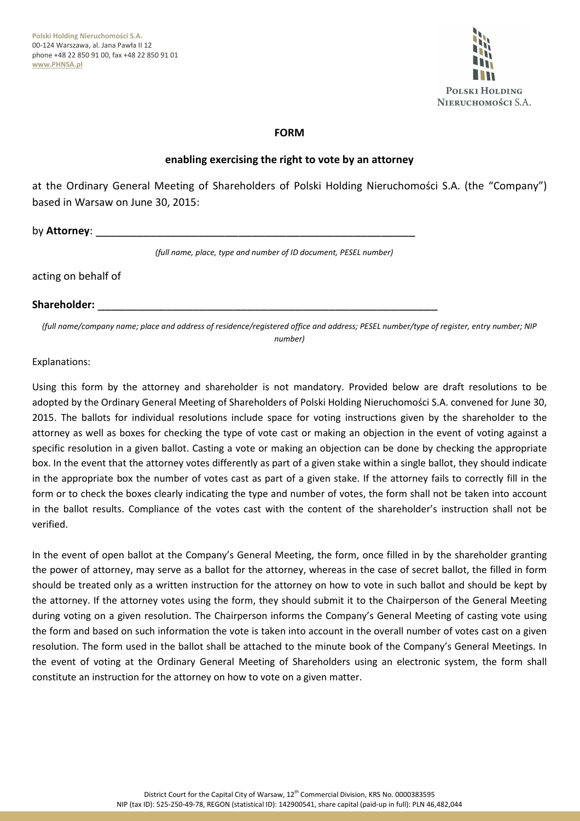

### **FORM**

### **enabling exercising the right to vote by an attorney**

at the Ordinary General Meeting of Shareholders of Polski Holding Nieruchomości S.A. (the "Company") based in Warsaw on June 30, 2015:

by **Attorney**:

*(full name, place, type and number of ID document, PESEL number)*

acting on behalf of

#### **Shareholder:** \_\_\_\_\_\_\_\_\_\_\_\_\_\_\_\_\_\_\_\_\_\_\_\_\_\_\_\_\_\_\_\_\_\_\_\_\_\_\_\_\_\_\_\_\_\_\_\_\_\_

*(full name/company name; place and address of residence/registered office and address; PESEL number/type of register, entry number; NIP number)* 

#### Explanations:

Using this form by the attorney and shareholder is not mandatory. Provided below are draft resolutions to be adopted by the Ordinary General Meeting of Shareholders of Polski Holding Nieruchomości S.A. convened for June 30, 2015. The ballots for individual resolutions include space for voting instructions given by the shareholder to the attorney as well as boxes for checking the type of vote cast or making an objection in the event of voting against a specific resolution in a given ballot. Casting a vote or making an objection can be done by checking the appropriate box. In the event that the attorney votes differently as part of a given stake within a single ballot, they should indicate in the appropriate box the number of votes cast as part of a given stake. If the attorney fails to correctly fill in the form or to check the boxes clearly indicating the type and number of votes, the form shall not be taken into account in the ballot results. Compliance of the votes cast with the content of the shareholder's instruction shall not be verified.

In the event of open ballot at the Company's General Meeting, the form, once filled in by the shareholder granting the power of attorney, may serve as a ballot for the attorney, whereas in the case of secret ballot, the filled in form should be treated only as a written instruction for the attorney on how to vote in such ballot and should be kept by the attorney. If the attorney votes using the form, they should submit it to the Chairperson of the General Meeting during voting on a given resolution. The Chairperson informs the Company's General Meeting of casting vote using the form and based on such information the vote is taken into account in the overall number of votes cast on a given resolution. The form used in the ballot shall be attached to the minute book of the Company's General Meetings. In the event of voting at the Ordinary General Meeting of Shareholders using an electronic system, the form shall constitute an instruction for the attorney on how to vote on a given matter.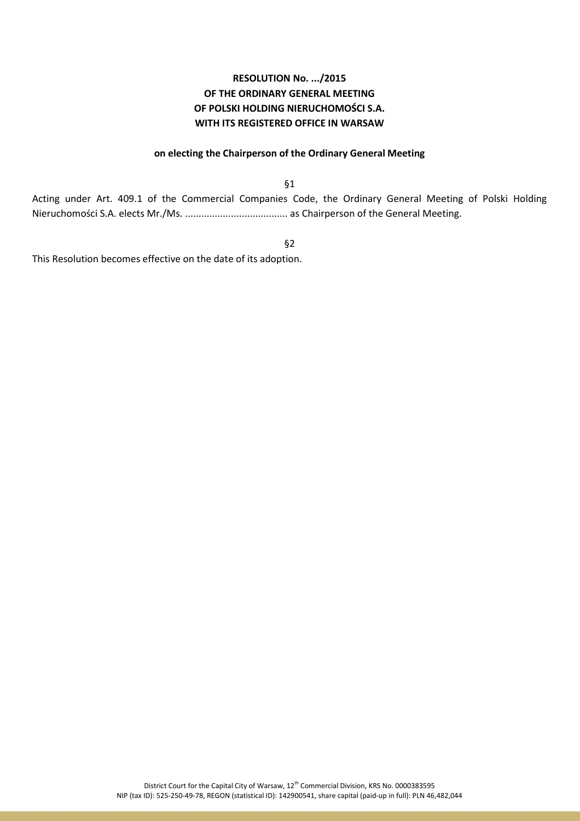#### **on electing the Chairperson of the Ordinary General Meeting**

§1

Acting under Art. 409.1 of the Commercial Companies Code, the Ordinary General Meeting of Polski Holding Nieruchomości S.A. elects Mr./Ms. ...................................... as Chairperson of the General Meeting.

§2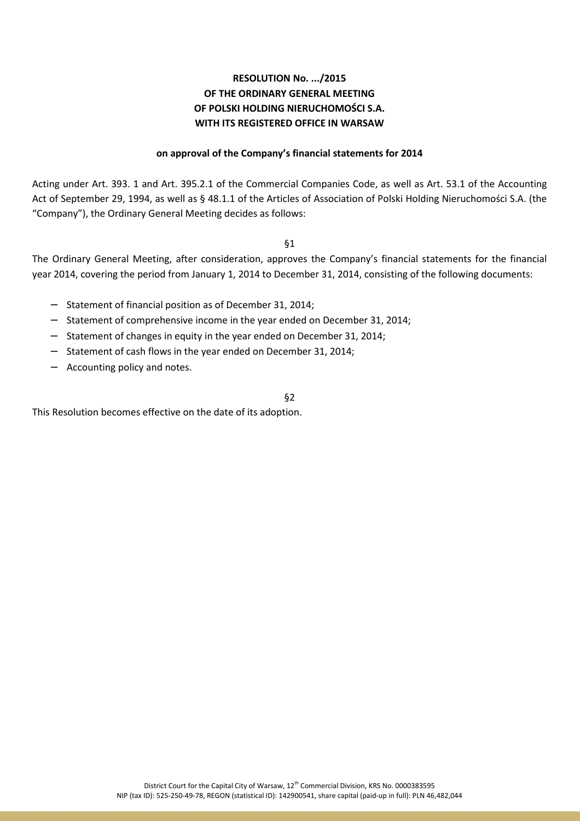#### **on approval of the Company's financial statements for 2014**

Acting under Art. 393. 1 and Art. 395.2.1 of the Commercial Companies Code, as well as Art. 53.1 of the Accounting Act of September 29, 1994, as well as § 48.1.1 of the Articles of Association of Polski Holding Nieruchomości S.A. (the "Company"), the Ordinary General Meeting decides as follows:

§1

The Ordinary General Meeting, after consideration, approves the Company's financial statements for the financial year 2014, covering the period from January 1, 2014 to December 31, 2014, consisting of the following documents:

- − Statement of financial position as of December 31, 2014;
- − Statement of comprehensive income in the year ended on December 31, 2014;
- − Statement of changes in equity in the year ended on December 31, 2014;
- − Statement of cash flows in the year ended on December 31, 2014;
- − Accounting policy and notes.

§2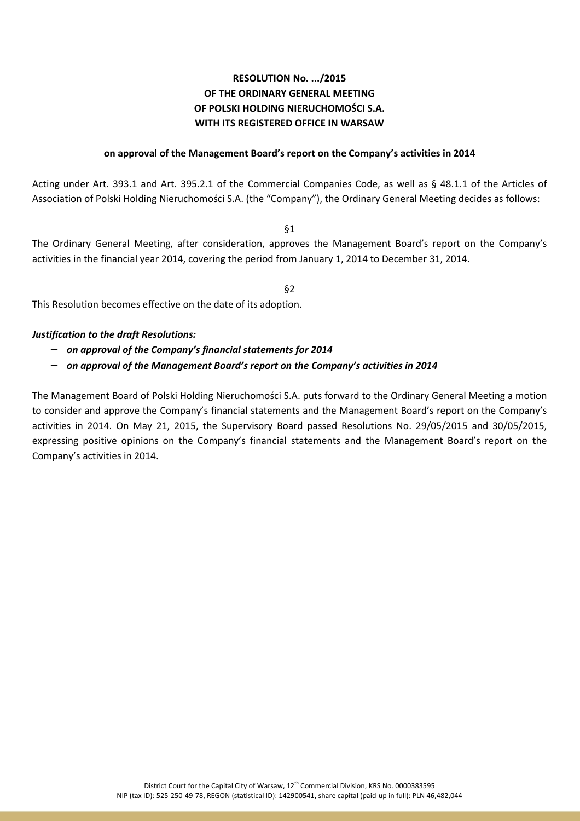#### **on approval of the Management Board's report on the Company's activities in 2014**

Acting under Art. 393.1 and Art. 395.2.1 of the Commercial Companies Code, as well as § 48.1.1 of the Articles of Association of Polski Holding Nieruchomości S.A. (the "Company"), the Ordinary General Meeting decides as follows:

§1

The Ordinary General Meeting, after consideration, approves the Management Board's report on the Company's activities in the financial year 2014, covering the period from January 1, 2014 to December 31, 2014.

§2

This Resolution becomes effective on the date of its adoption.

#### *Justification to the draft Resolutions:*

- − *on approval of the Company's financial statements for 2014*
- − *on approval of the Management Board's report on the Company's activities in 2014*

The Management Board of Polski Holding Nieruchomości S.A. puts forward to the Ordinary General Meeting a motion to consider and approve the Company's financial statements and the Management Board's report on the Company's activities in 2014. On May 21, 2015, the Supervisory Board passed Resolutions No. 29/05/2015 and 30/05/2015, expressing positive opinions on the Company's financial statements and the Management Board's report on the Company's activities in 2014.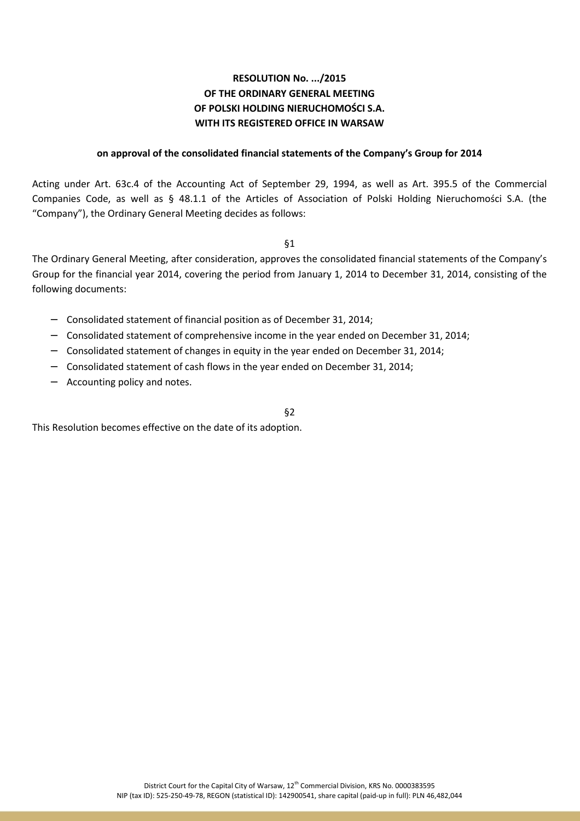#### **on approval of the consolidated financial statements of the Company's Group for 2014**

Acting under Art. 63c.4 of the Accounting Act of September 29, 1994, as well as Art. 395.5 of the Commercial Companies Code, as well as § 48.1.1 of the Articles of Association of Polski Holding Nieruchomości S.A. (the "Company"), the Ordinary General Meeting decides as follows:

§1

The Ordinary General Meeting, after consideration, approves the consolidated financial statements of the Company's Group for the financial year 2014, covering the period from January 1, 2014 to December 31, 2014, consisting of the following documents:

- − Consolidated statement of financial position as of December 31, 2014;
- − Consolidated statement of comprehensive income in the year ended on December 31, 2014;
- − Consolidated statement of changes in equity in the year ended on December 31, 2014;
- − Consolidated statement of cash flows in the year ended on December 31, 2014;
- − Accounting policy and notes.

§2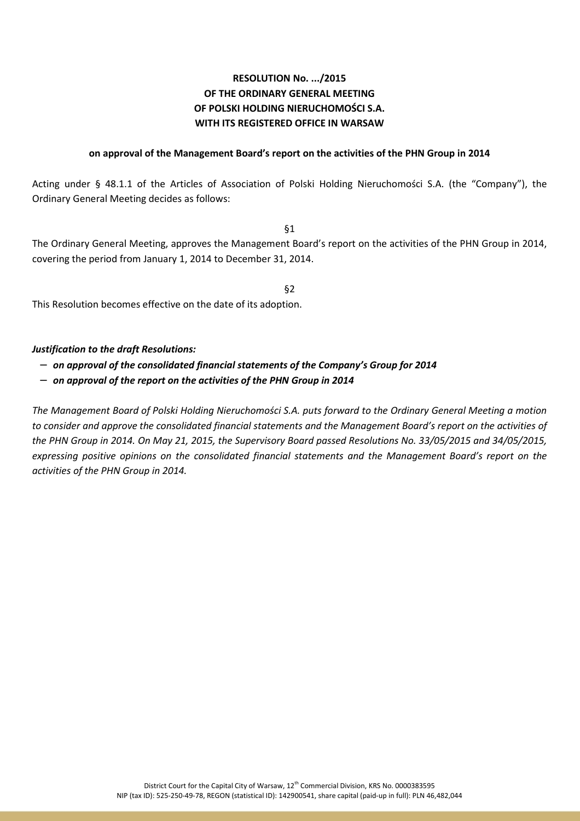#### **on approval of the Management Board's report on the activities of the PHN Group in 2014**

Acting under § 48.1.1 of the Articles of Association of Polski Holding Nieruchomości S.A. (the "Company"), the Ordinary General Meeting decides as follows:

§1

The Ordinary General Meeting, approves the Management Board's report on the activities of the PHN Group in 2014, covering the period from January 1, 2014 to December 31, 2014.

§2

This Resolution becomes effective on the date of its adoption.

### *Justification to the draft Resolutions:*

- − *on approval of the consolidated financial statements of the Company's Group for 2014*
- − *on approval of the report on the activities of the PHN Group in 2014*

*The Management Board of Polski Holding Nieruchomości S.A. puts forward to the Ordinary General Meeting a motion to consider and approve the consolidated financial statements and the Management Board's report on the activities of the PHN Group in 2014. On May 21, 2015, the Supervisory Board passed Resolutions No. 33/05/2015 and 34/05/2015, expressing positive opinions on the consolidated financial statements and the Management Board's report on the activities of the PHN Group in 2014.*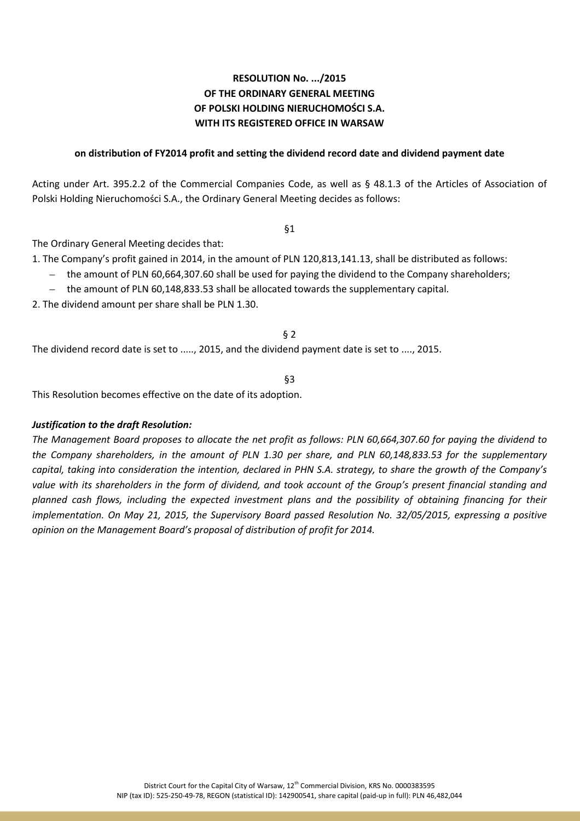### **on distribution of FY2014 profit and setting the dividend record date and dividend payment date**

Acting under Art. 395.2.2 of the Commercial Companies Code, as well as § 48.1.3 of the Articles of Association of Polski Holding Nieruchomości S.A., the Ordinary General Meeting decides as follows:

§1

The Ordinary General Meeting decides that:

1. The Company's profit gained in 2014, in the amount of PLN 120,813,141.13, shall be distributed as follows:

- the amount of PLN 60,664,307.60 shall be used for paying the dividend to the Company shareholders;
- the amount of PLN 60,148,833.53 shall be allocated towards the supplementary capital.

2. The dividend amount per share shall be PLN 1.30.

§ 2

The dividend record date is set to ....., 2015, and the dividend payment date is set to ...., 2015.

§3

This Resolution becomes effective on the date of its adoption.

#### *Justification to the draft Resolution:*

*The Management Board proposes to allocate the net profit as follows: PLN 60,664,307.60 for paying the dividend to the Company shareholders, in the amount of PLN 1.30 per share, and PLN 60,148,833.53 for the supplementary capital, taking into consideration the intention, declared in PHN S.A. strategy, to share the growth of the Company's value with its shareholders in the form of dividend, and took account of the Group's present financial standing and planned cash flows, including the expected investment plans and the possibility of obtaining financing for their implementation. On May 21, 2015, the Supervisory Board passed Resolution No. 32/05/2015, expressing a positive opinion on the Management Board's proposal of distribution of profit for 2014.*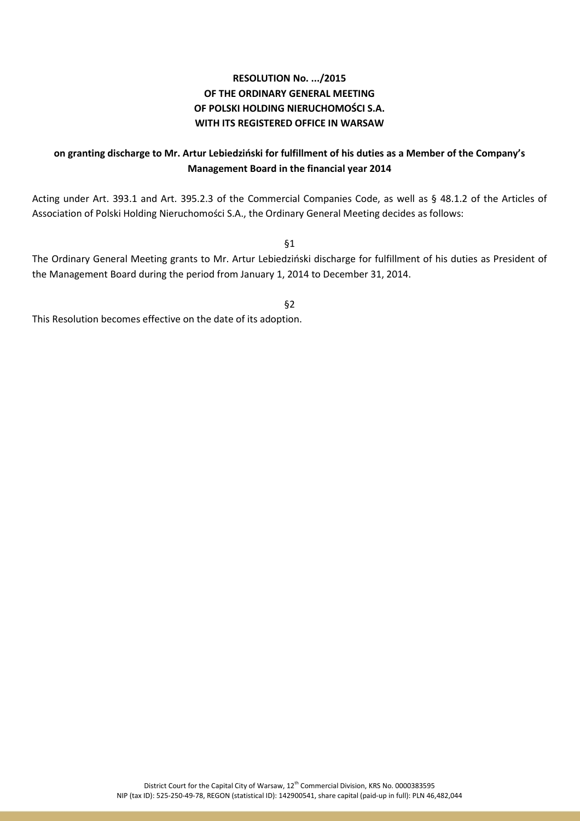## **on granting discharge to Mr. Artur Lebiedziński for fulfillment of his duties as a Member of the Company's Management Board in the financial year 2014**

Acting under Art. 393.1 and Art. 395.2.3 of the Commercial Companies Code, as well as § 48.1.2 of the Articles of Association of Polski Holding Nieruchomości S.A., the Ordinary General Meeting decides as follows:

§1

The Ordinary General Meeting grants to Mr. Artur Lebiedziński discharge for fulfillment of his duties as President of the Management Board during the period from January 1, 2014 to December 31, 2014.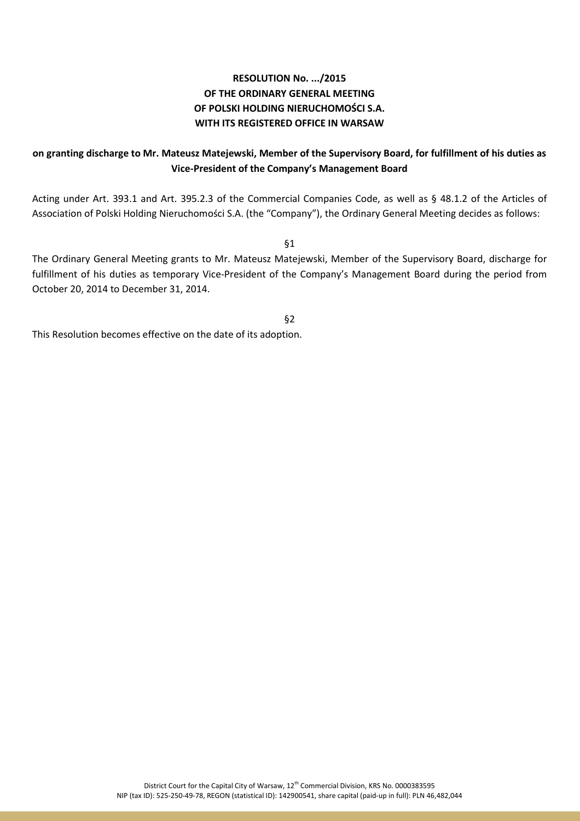## **on granting discharge to Mr. Mateusz Matejewski, Member of the Supervisory Board, for fulfillment of his duties as Vice-President of the Company's Management Board**

Acting under Art. 393.1 and Art. 395.2.3 of the Commercial Companies Code, as well as § 48.1.2 of the Articles of Association of Polski Holding Nieruchomości S.A. (the "Company"), the Ordinary General Meeting decides as follows:

§1

The Ordinary General Meeting grants to Mr. Mateusz Matejewski, Member of the Supervisory Board, discharge for fulfillment of his duties as temporary Vice-President of the Company's Management Board during the period from October 20, 2014 to December 31, 2014.

§2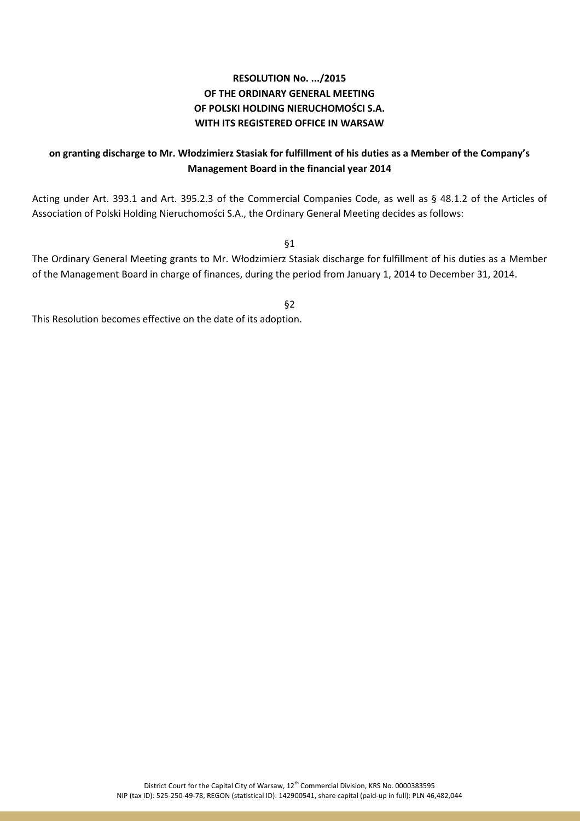## **on granting discharge to Mr. Włodzimierz Stasiak for fulfillment of his duties as a Member of the Company's Management Board in the financial year 2014**

Acting under Art. 393.1 and Art. 395.2.3 of the Commercial Companies Code, as well as § 48.1.2 of the Articles of Association of Polski Holding Nieruchomości S.A., the Ordinary General Meeting decides as follows:

§1

The Ordinary General Meeting grants to Mr. Włodzimierz Stasiak discharge for fulfillment of his duties as a Member of the Management Board in charge of finances, during the period from January 1, 2014 to December 31, 2014.

§2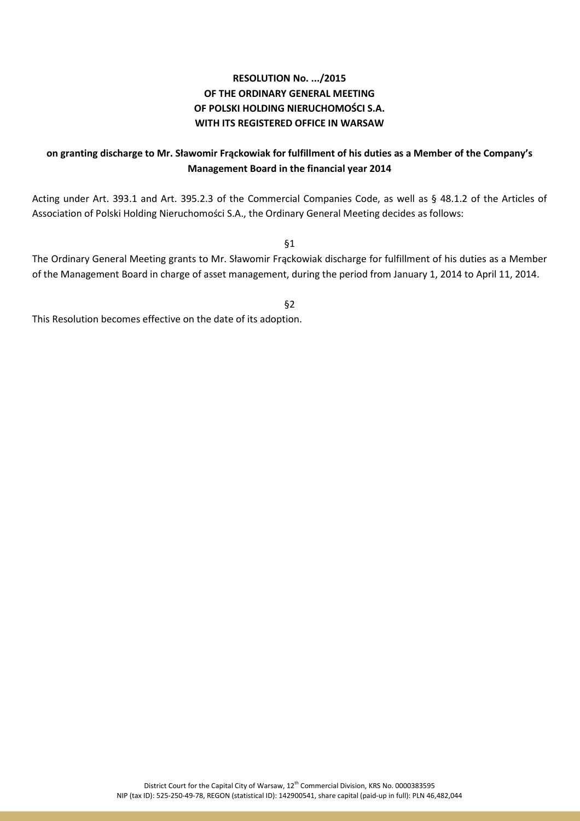## **on granting discharge to Mr. Sławomir Frąckowiak for fulfillment of his duties as a Member of the Company's Management Board in the financial year 2014**

Acting under Art. 393.1 and Art. 395.2.3 of the Commercial Companies Code, as well as § 48.1.2 of the Articles of Association of Polski Holding Nieruchomości S.A., the Ordinary General Meeting decides as follows:

§1

The Ordinary General Meeting grants to Mr. Sławomir Frąckowiak discharge for fulfillment of his duties as a Member of the Management Board in charge of asset management, during the period from January 1, 2014 to April 11, 2014.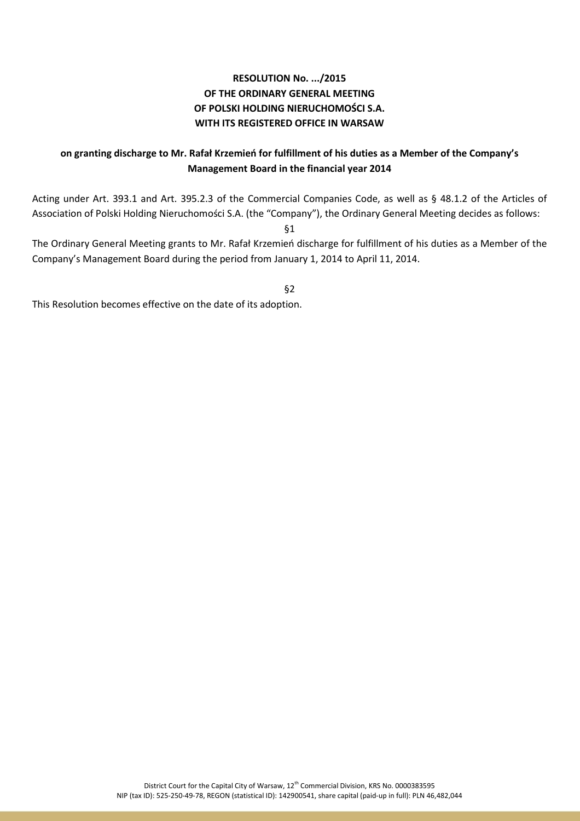## **on granting discharge to Mr. Rafał Krzemień for fulfillment of his duties as a Member of the Company's Management Board in the financial year 2014**

Acting under Art. 393.1 and Art. 395.2.3 of the Commercial Companies Code, as well as § 48.1.2 of the Articles of Association of Polski Holding Nieruchomości S.A. (the "Company"), the Ordinary General Meeting decides as follows:

§1

The Ordinary General Meeting grants to Mr. Rafał Krzemień discharge for fulfillment of his duties as a Member of the Company's Management Board during the period from January 1, 2014 to April 11, 2014.

§2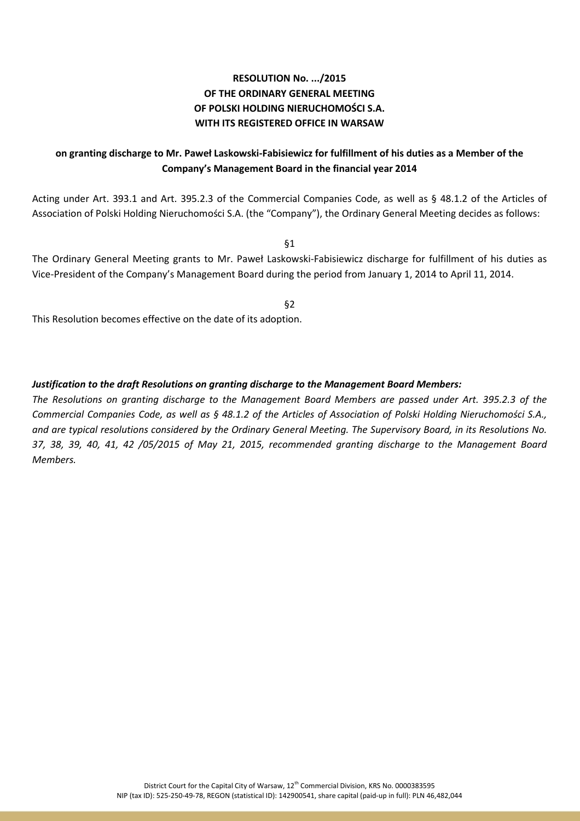# **on granting discharge to Mr. Paweł Laskowski-Fabisiewicz for fulfillment of his duties as a Member of the Company's Management Board in the financial year 2014**

Acting under Art. 393.1 and Art. 395.2.3 of the Commercial Companies Code, as well as § 48.1.2 of the Articles of Association of Polski Holding Nieruchomości S.A. (the "Company"), the Ordinary General Meeting decides as follows:

§1

The Ordinary General Meeting grants to Mr. Paweł Laskowski-Fabisiewicz discharge for fulfillment of his duties as Vice-President of the Company's Management Board during the period from January 1, 2014 to April 11, 2014.

§2

This Resolution becomes effective on the date of its adoption.

### *Justification to the draft Resolutions on granting discharge to the Management Board Members:*

*The Resolutions on granting discharge to the Management Board Members are passed under Art. 395.2.3 of the Commercial Companies Code, as well as § 48.1.2 of the Articles of Association of Polski Holding Nieruchomości S.A., and are typical resolutions considered by the Ordinary General Meeting. The Supervisory Board, in its Resolutions No. 37, 38, 39, 40, 41, 42 /05/2015 of May 21, 2015, recommended granting discharge to the Management Board Members.*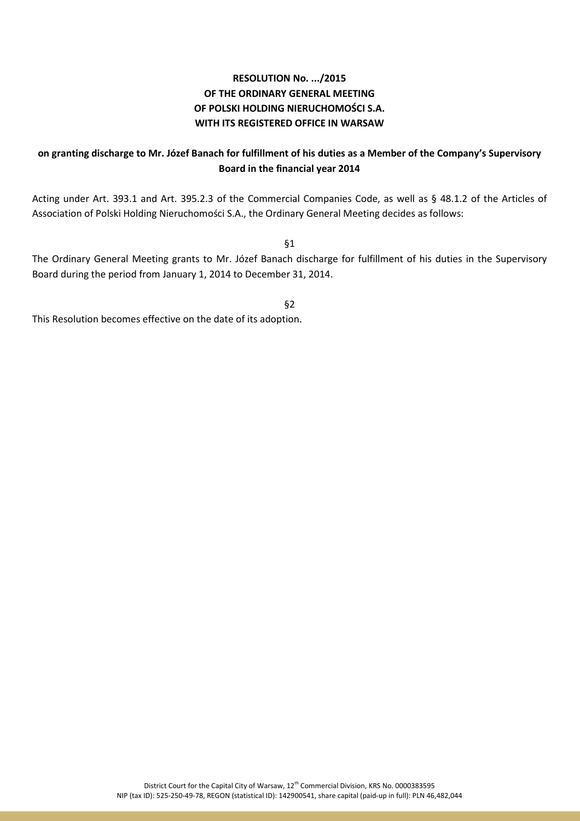## **on granting discharge to Mr. Józef Banach for fulfillment of his duties as a Member of the Company's Supervisory Board in the financial year 2014**

Acting under Art. 393.1 and Art. 395.2.3 of the Commercial Companies Code, as well as § 48.1.2 of the Articles of Association of Polski Holding Nieruchomości S.A., the Ordinary General Meeting decides as follows:

§1

The Ordinary General Meeting grants to Mr. Józef Banach discharge for fulfillment of his duties in the Supervisory Board during the period from January 1, 2014 to December 31, 2014.

§2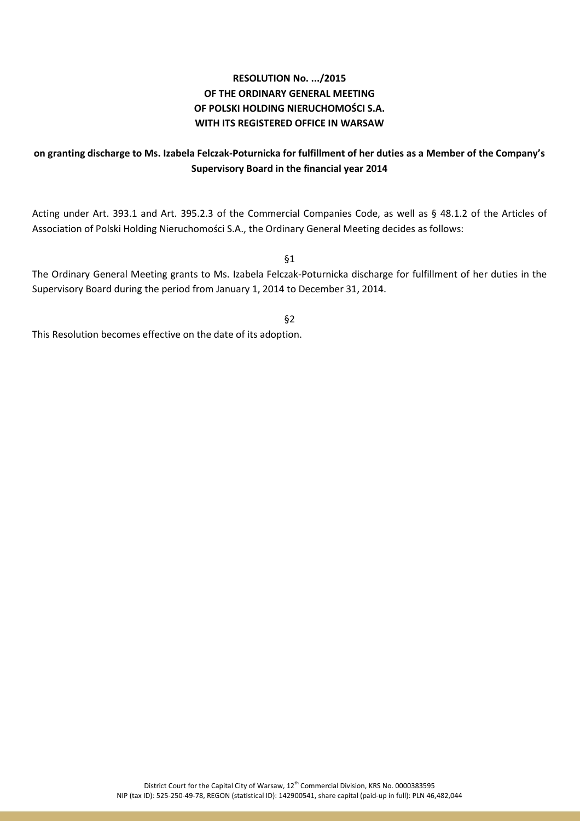## **on granting discharge to Ms. Izabela Felczak-Poturnicka for fulfillment of her duties as a Member of the Company's Supervisory Board in the financial year 2014**

Acting under Art. 393.1 and Art. 395.2.3 of the Commercial Companies Code, as well as § 48.1.2 of the Articles of Association of Polski Holding Nieruchomości S.A., the Ordinary General Meeting decides as follows:

§1

The Ordinary General Meeting grants to Ms. Izabela Felczak-Poturnicka discharge for fulfillment of her duties in the Supervisory Board during the period from January 1, 2014 to December 31, 2014.

§2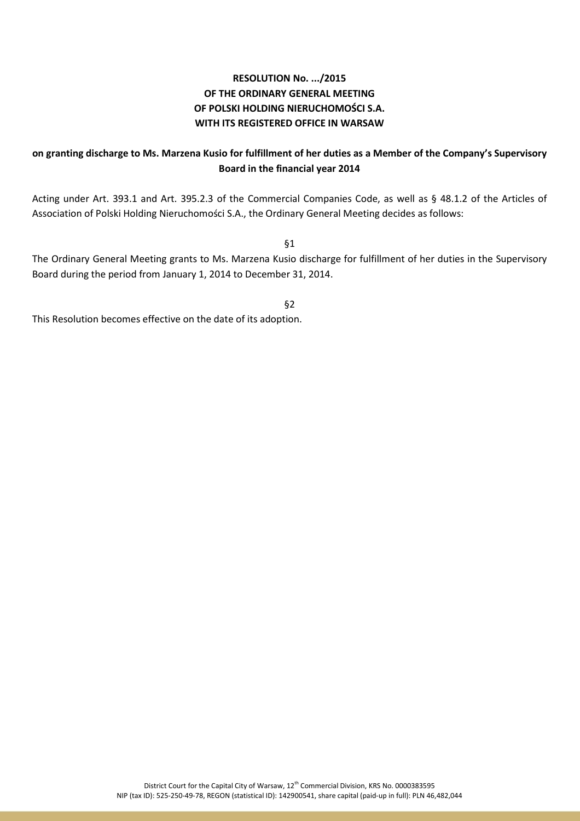## **on granting discharge to Ms. Marzena Kusio for fulfillment of her duties as a Member of the Company's Supervisory Board in the financial year 2014**

Acting under Art. 393.1 and Art. 395.2.3 of the Commercial Companies Code, as well as § 48.1.2 of the Articles of Association of Polski Holding Nieruchomości S.A., the Ordinary General Meeting decides as follows:

§1

The Ordinary General Meeting grants to Ms. Marzena Kusio discharge for fulfillment of her duties in the Supervisory Board during the period from January 1, 2014 to December 31, 2014.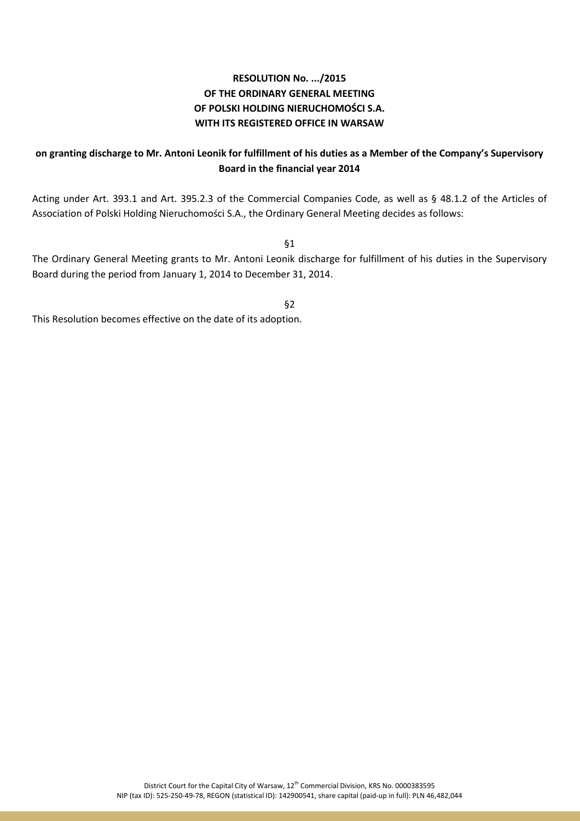## **on granting discharge to Mr. Antoni Leonik for fulfillment of his duties as a Member of the Company's Supervisory Board in the financial year 2014**

Acting under Art. 393.1 and Art. 395.2.3 of the Commercial Companies Code, as well as § 48.1.2 of the Articles of Association of Polski Holding Nieruchomości S.A., the Ordinary General Meeting decides as follows:

§1

The Ordinary General Meeting grants to Mr. Antoni Leonik discharge for fulfillment of his duties in the Supervisory Board during the period from January 1, 2014 to December 31, 2014.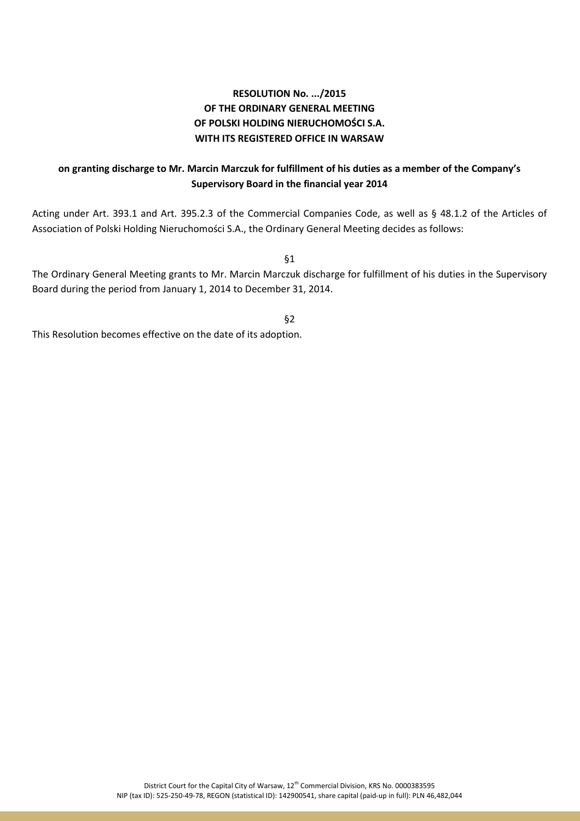### **on granting discharge to Mr. Marcin Marczuk for fulfillment of his duties as a member of the Company's Supervisory Board in the financial year 2014**

Acting under Art. 393.1 and Art. 395.2.3 of the Commercial Companies Code, as well as § 48.1.2 of the Articles of Association of Polski Holding Nieruchomości S.A., the Ordinary General Meeting decides as follows:

§1

The Ordinary General Meeting grants to Mr. Marcin Marczuk discharge for fulfillment of his duties in the Supervisory Board during the period from January 1, 2014 to December 31, 2014.

§2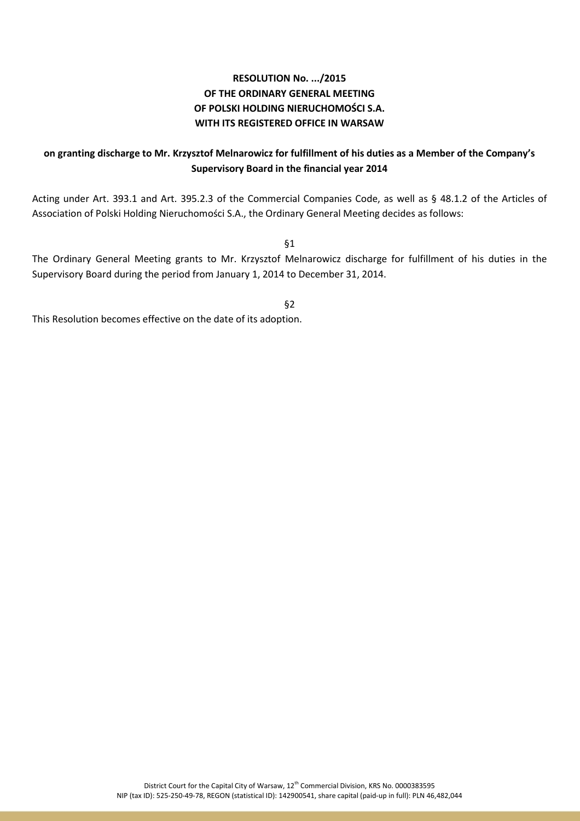## **on granting discharge to Mr. Krzysztof Melnarowicz for fulfillment of his duties as a Member of the Company's Supervisory Board in the financial year 2014**

Acting under Art. 393.1 and Art. 395.2.3 of the Commercial Companies Code, as well as § 48.1.2 of the Articles of Association of Polski Holding Nieruchomości S.A., the Ordinary General Meeting decides as follows:

§1

The Ordinary General Meeting grants to Mr. Krzysztof Melnarowicz discharge for fulfillment of his duties in the Supervisory Board during the period from January 1, 2014 to December 31, 2014.

§2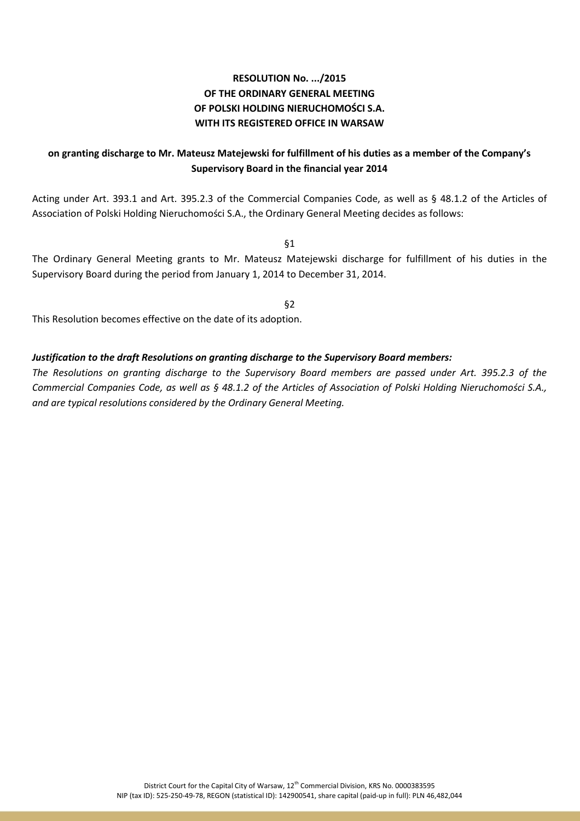## **on granting discharge to Mr. Mateusz Matejewski for fulfillment of his duties as a member of the Company's Supervisory Board in the financial year 2014**

Acting under Art. 393.1 and Art. 395.2.3 of the Commercial Companies Code, as well as § 48.1.2 of the Articles of Association of Polski Holding Nieruchomości S.A., the Ordinary General Meeting decides as follows:

§1

The Ordinary General Meeting grants to Mr. Mateusz Matejewski discharge for fulfillment of his duties in the Supervisory Board during the period from January 1, 2014 to December 31, 2014.

§2

This Resolution becomes effective on the date of its adoption.

### *Justification to the draft Resolutions on granting discharge to the Supervisory Board members:*

*The Resolutions on granting discharge to the Supervisory Board members are passed under Art. 395.2.3 of the Commercial Companies Code, as well as § 48.1.2 of the Articles of Association of Polski Holding Nieruchomości S.A., and are typical resolutions considered by the Ordinary General Meeting.*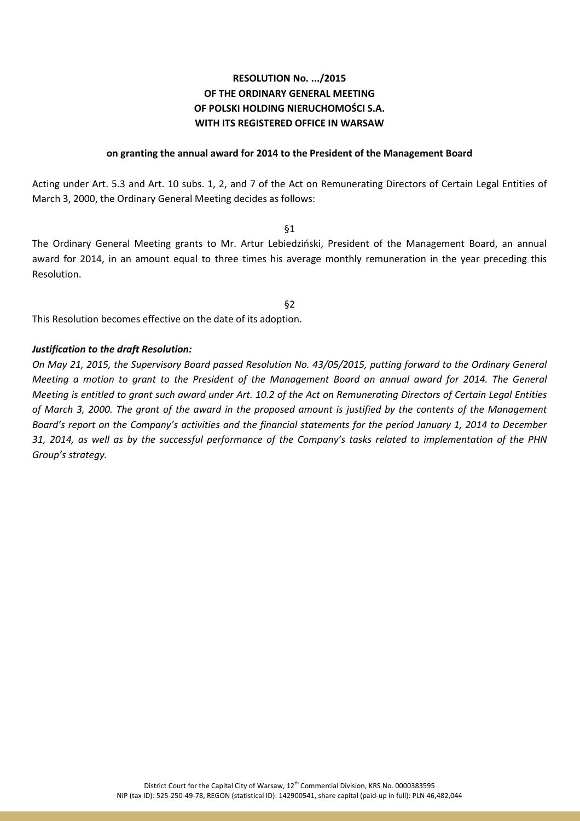#### **on granting the annual award for 2014 to the President of the Management Board**

Acting under Art. 5.3 and Art. 10 subs. 1, 2, and 7 of the Act on Remunerating Directors of Certain Legal Entities of March 3, 2000, the Ordinary General Meeting decides as follows:

§1

The Ordinary General Meeting grants to Mr. Artur Lebiedziński, President of the Management Board, an annual award for 2014, in an amount equal to three times his average monthly remuneration in the year preceding this Resolution.

§2

This Resolution becomes effective on the date of its adoption.

### *Justification to the draft Resolution:*

*On May 21, 2015, the Supervisory Board passed Resolution No. 43/05/2015, putting forward to the Ordinary General Meeting a motion to grant to the President of the Management Board an annual award for 2014. The General Meeting is entitled to grant such award under Art. 10.2 of the Act on Remunerating Directors of Certain Legal Entities of March 3, 2000. The grant of the award in the proposed amount is justified by the contents of the Management Board's report on the Company's activities and the financial statements for the period January 1, 2014 to December 31, 2014, as well as by the successful performance of the Company's tasks related to implementation of the PHN Group's strategy.*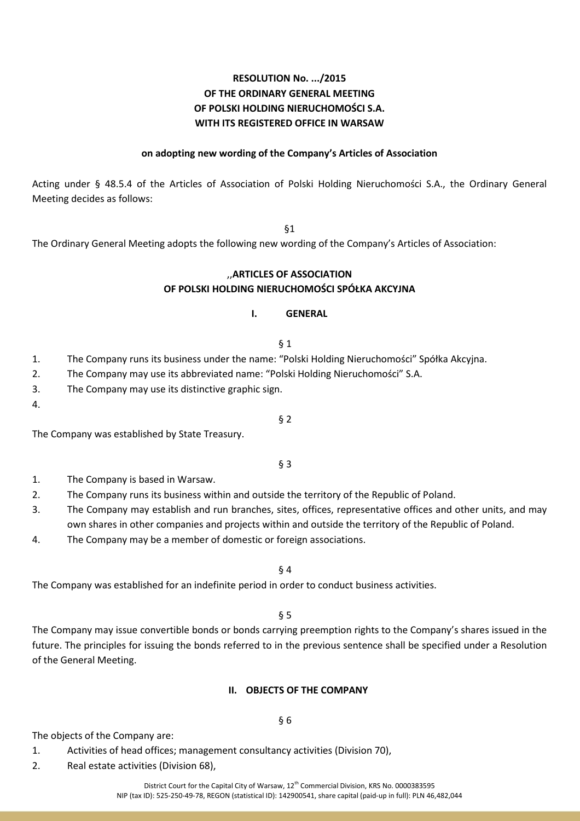### **on adopting new wording of the Company's Articles of Association**

Acting under § 48.5.4 of the Articles of Association of Polski Holding Nieruchomości S.A., the Ordinary General Meeting decides as follows:

§1

The Ordinary General Meeting adopts the following new wording of the Company's Articles of Association:

### ,,**ARTICLES OF ASSOCIATION OF POLSKI HOLDING NIERUCHOMOŚCI SPÓŁKA AKCYJNA**

#### **I. GENERAL**

- § 1
- 1. The Company runs its business under the name: "Polski Holding Nieruchomości" Spółka Akcyjna.
- 2. The Company may use its abbreviated name: "Polski Holding Nieruchomości" S.A.
- 3. The Company may use its distinctive graphic sign.
- 4.

The Company was established by State Treasury.

§ 3

§ 2

- 1. The Company is based in Warsaw.
- 2. The Company runs its business within and outside the territory of the Republic of Poland.
- 3. The Company may establish and run branches, sites, offices, representative offices and other units, and may own shares in other companies and projects within and outside the territory of the Republic of Poland.
- 4. The Company may be a member of domestic or foreign associations.
	- § 4

The Company was established for an indefinite period in order to conduct business activities.

§ 5

The Company may issue convertible bonds or bonds carrying preemption rights to the Company's shares issued in the future. The principles for issuing the bonds referred to in the previous sentence shall be specified under a Resolution of the General Meeting.

#### **II. OBJECTS OF THE COMPANY**

The objects of the Company are:

- 1. Activities of head offices; management consultancy activities (Division 70),
- 2. Real estate activities (Division 68),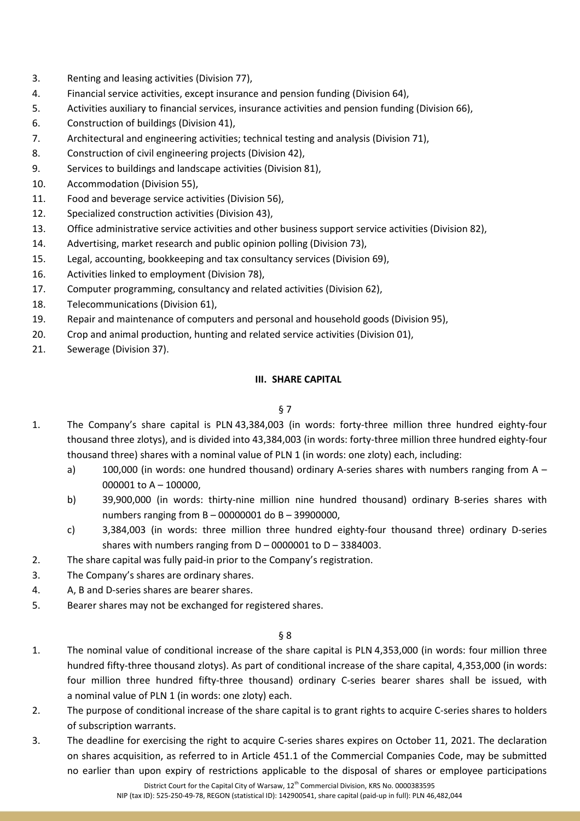- 3. Renting and leasing activities (Division 77),
- 4. Financial service activities, except insurance and pension funding (Division 64),
- 5. Activities auxiliary to financial services, insurance activities and pension funding (Division 66),
- 6. Construction of buildings (Division 41),
- 7. Architectural and engineering activities; technical testing and analysis (Division 71),
- 8. Construction of civil engineering projects (Division 42),
- 9. Services to buildings and landscape activities (Division 81),
- 10. Accommodation (Division 55),
- 11. Food and beverage service activities (Division 56),
- 12. Specialized construction activities (Division 43),
- 13. Office administrative service activities and other business support service activities (Division 82),
- 14. Advertising, market research and public opinion polling (Division 73),
- 15. Legal, accounting, bookkeeping and tax consultancy services (Division 69),
- 16. Activities linked to employment (Division 78),
- 17. Computer programming, consultancy and related activities (Division 62),
- 18. Telecommunications (Division 61),
- 19. Repair and maintenance of computers and personal and household goods (Division 95),
- 20. Crop and animal production, hunting and related service activities (Division 01),
- 21. Sewerage (Division 37).

### **III. SHARE CAPITAL**

### § 7

- 1. The Company's share capital is PLN 43,384,003 (in words: forty-three million three hundred eighty-four thousand three zlotys), and is divided into 43,384,003 (in words: forty-three million three hundred eighty-four thousand three) shares with a nominal value of PLN 1 (in words: one zloty) each, including:
	- a) 100,000 (in words: one hundred thousand) ordinary A-series shares with numbers ranging from A 000001 to A – 100000,
	- b) 39,900,000 (in words: thirty-nine million nine hundred thousand) ordinary B-series shares with numbers ranging from B – 00000001 do B – 39900000,
	- c) 3,384,003 (in words: three million three hundred eighty-four thousand three) ordinary D-series shares with numbers ranging from  $D - 0000001$  to  $D - 3384003$ .
- 2. The share capital was fully paid-in prior to the Company's registration.
- 3. The Company's shares are ordinary shares.
- 4. A, B and D-series shares are bearer shares.
- 5. Bearer shares may not be exchanged for registered shares.

- 1. The nominal value of conditional increase of the share capital is PLN 4,353,000 (in words: four million three hundred fifty-three thousand zlotys). As part of conditional increase of the share capital, 4,353,000 (in words: four million three hundred fifty-three thousand) ordinary C-series bearer shares shall be issued, with a nominal value of PLN 1 (in words: one zloty) each.
- 2. The purpose of conditional increase of the share capital is to grant rights to acquire C-series shares to holders of subscription warrants.
- 3. The deadline for exercising the right to acquire C-series shares expires on October 11, 2021. The declaration on shares acquisition, as referred to in Article 451.1 of the Commercial Companies Code, may be submitted no earlier than upon expiry of restrictions applicable to the disposal of shares or employee participations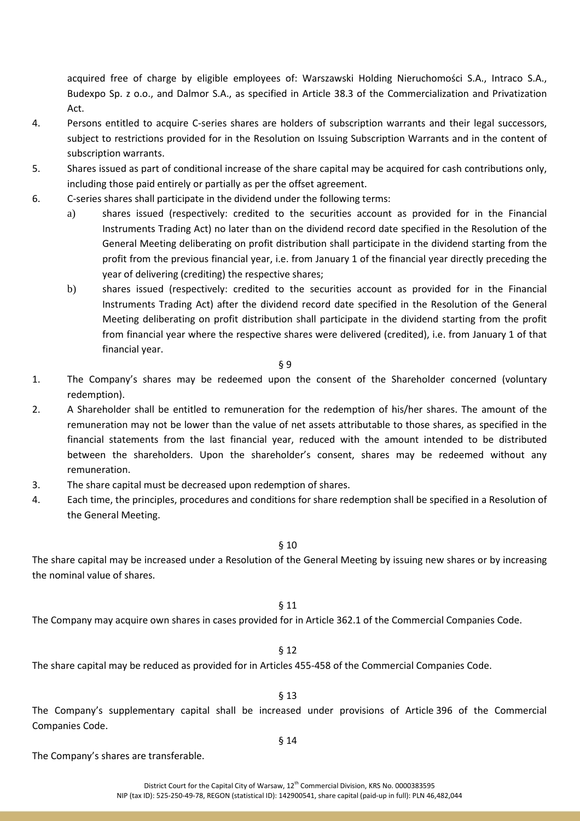acquired free of charge by eligible employees of: Warszawski Holding Nieruchomości S.A., Intraco S.A., Budexpo Sp. z o.o., and Dalmor S.A., as specified in Article 38.3 of the Commercialization and Privatization Act.

- 4. Persons entitled to acquire C-series shares are holders of subscription warrants and their legal successors, subject to restrictions provided for in the Resolution on Issuing Subscription Warrants and in the content of subscription warrants.
- 5. Shares issued as part of conditional increase of the share capital may be acquired for cash contributions only, including those paid entirely or partially as per the offset agreement.
- 6. C-series shares shall participate in the dividend under the following terms:
	- a) shares issued (respectively: credited to the securities account as provided for in the Financial Instruments Trading Act) no later than on the dividend record date specified in the Resolution of the General Meeting deliberating on profit distribution shall participate in the dividend starting from the profit from the previous financial year, i.e. from January 1 of the financial year directly preceding the year of delivering (crediting) the respective shares;
	- b) shares issued (respectively: credited to the securities account as provided for in the Financial Instruments Trading Act) after the dividend record date specified in the Resolution of the General Meeting deliberating on profit distribution shall participate in the dividend starting from the profit from financial year where the respective shares were delivered (credited), i.e. from January 1 of that financial year.

§ 9

- 1. The Company's shares may be redeemed upon the consent of the Shareholder concerned (voluntary redemption).
- 2. A Shareholder shall be entitled to remuneration for the redemption of his/her shares. The amount of the remuneration may not be lower than the value of net assets attributable to those shares, as specified in the financial statements from the last financial year, reduced with the amount intended to be distributed between the shareholders. Upon the shareholder's consent, shares may be redeemed without any remuneration.
- 3. The share capital must be decreased upon redemption of shares.
- 4. Each time, the principles, procedures and conditions for share redemption shall be specified in a Resolution of the General Meeting.

### § 10

The share capital may be increased under a Resolution of the General Meeting by issuing new shares or by increasing the nominal value of shares.

### § 11

The Company may acquire own shares in cases provided for in Article 362.1 of the Commercial Companies Code.

#### § 12

The share capital may be reduced as provided for in Articles 455-458 of the Commercial Companies Code.

§ 13

The Company's supplementary capital shall be increased under provisions of Article 396 of the Commercial Companies Code.

#### § 14

The Company's shares are transferable.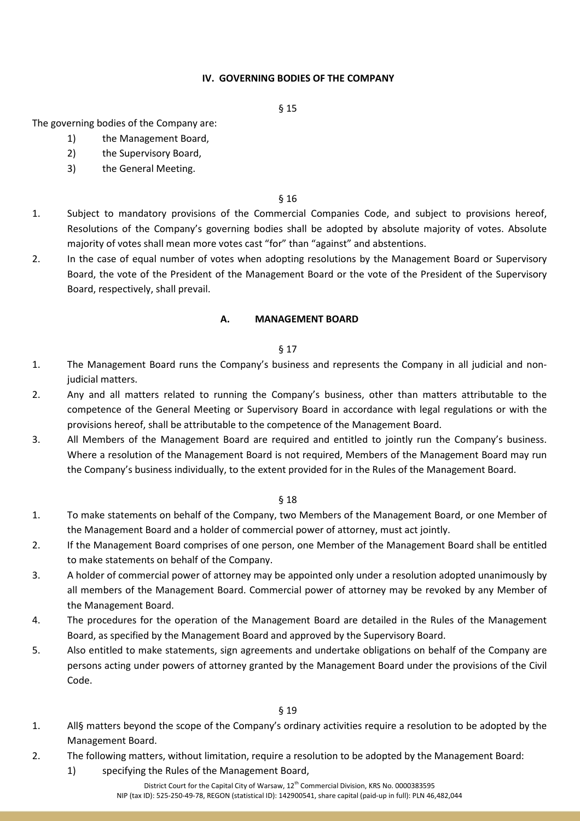### **IV. GOVERNING BODIES OF THE COMPANY**

#### § 15

The governing bodies of the Company are:

- 1) the Management Board,
- 2) the Supervisory Board,
- 3) the General Meeting.

#### § 16

- 1. Subject to mandatory provisions of the Commercial Companies Code, and subject to provisions hereof, Resolutions of the Company's governing bodies shall be adopted by absolute majority of votes. Absolute majority of votes shall mean more votes cast "for" than "against" and abstentions.
- 2. In the case of equal number of votes when adopting resolutions by the Management Board or Supervisory Board, the vote of the President of the Management Board or the vote of the President of the Supervisory Board, respectively, shall prevail.

#### **A. MANAGEMENT BOARD**

#### § 17

- 1. The Management Board runs the Company's business and represents the Company in all judicial and nonjudicial matters.
- 2. Any and all matters related to running the Company's business, other than matters attributable to the competence of the General Meeting or Supervisory Board in accordance with legal regulations or with the provisions hereof, shall be attributable to the competence of the Management Board.
- 3. All Members of the Management Board are required and entitled to jointly run the Company's business. Where a resolution of the Management Board is not required, Members of the Management Board may run the Company's business individually, to the extent provided for in the Rules of the Management Board.

- 1. To make statements on behalf of the Company, two Members of the Management Board, or one Member of the Management Board and a holder of commercial power of attorney, must act jointly.
- 2. If the Management Board comprises of one person, one Member of the Management Board shall be entitled to make statements on behalf of the Company.
- 3. A holder of commercial power of attorney may be appointed only under a resolution adopted unanimously by all members of the Management Board. Commercial power of attorney may be revoked by any Member of the Management Board.
- 4. The procedures for the operation of the Management Board are detailed in the Rules of the Management Board, as specified by the Management Board and approved by the Supervisory Board.
- 5. Also entitled to make statements, sign agreements and undertake obligations on behalf of the Company are persons acting under powers of attorney granted by the Management Board under the provisions of the Civil Code.

- 1. All§ matters beyond the scope of the Company's ordinary activities require a resolution to be adopted by the Management Board.
- 2. The following matters, without limitation, require a resolution to be adopted by the Management Board:
	- 1) specifying the Rules of the Management Board,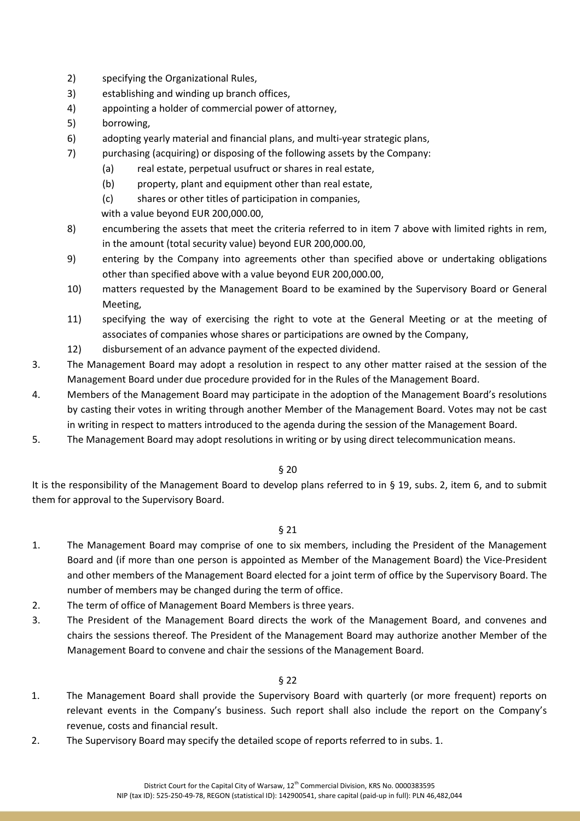- 2) specifying the Organizational Rules,
- 3) establishing and winding up branch offices,
- 4) appointing a holder of commercial power of attorney,
- 5) borrowing,
- 6) adopting yearly material and financial plans, and multi-year strategic plans,
- 7) purchasing (acquiring) or disposing of the following assets by the Company:
	- (a) real estate, perpetual usufruct or shares in real estate,
	- (b) property, plant and equipment other than real estate,
	- (c) shares or other titles of participation in companies,
	- with a value beyond EUR 200,000.00,
- 8) encumbering the assets that meet the criteria referred to in item 7 above with limited rights in rem, in the amount (total security value) beyond EUR 200,000.00,
- 9) entering by the Company into agreements other than specified above or undertaking obligations other than specified above with a value beyond EUR 200,000.00,
- 10) matters requested by the Management Board to be examined by the Supervisory Board or General Meeting,
- 11) specifying the way of exercising the right to vote at the General Meeting or at the meeting of associates of companies whose shares or participations are owned by the Company,
- 12) disbursement of an advance payment of the expected dividend.
- 3. The Management Board may adopt a resolution in respect to any other matter raised at the session of the Management Board under due procedure provided for in the Rules of the Management Board.
- 4. Members of the Management Board may participate in the adoption of the Management Board's resolutions by casting their votes in writing through another Member of the Management Board. Votes may not be cast in writing in respect to matters introduced to the agenda during the session of the Management Board.
- 5. The Management Board may adopt resolutions in writing or by using direct telecommunication means.

#### § 20

It is the responsibility of the Management Board to develop plans referred to in § 19, subs. 2, item 6, and to submit them for approval to the Supervisory Board.

### § 21

- 1. The Management Board may comprise of one to six members, including the President of the Management Board and (if more than one person is appointed as Member of the Management Board) the Vice-President and other members of the Management Board elected for a joint term of office by the Supervisory Board. The number of members may be changed during the term of office.
- 2. The term of office of Management Board Members is three years.
- 3. The President of the Management Board directs the work of the Management Board, and convenes and chairs the sessions thereof. The President of the Management Board may authorize another Member of the Management Board to convene and chair the sessions of the Management Board.

- 1. The Management Board shall provide the Supervisory Board with quarterly (or more frequent) reports on relevant events in the Company's business. Such report shall also include the report on the Company's revenue, costs and financial result.
- 2. The Supervisory Board may specify the detailed scope of reports referred to in subs. 1.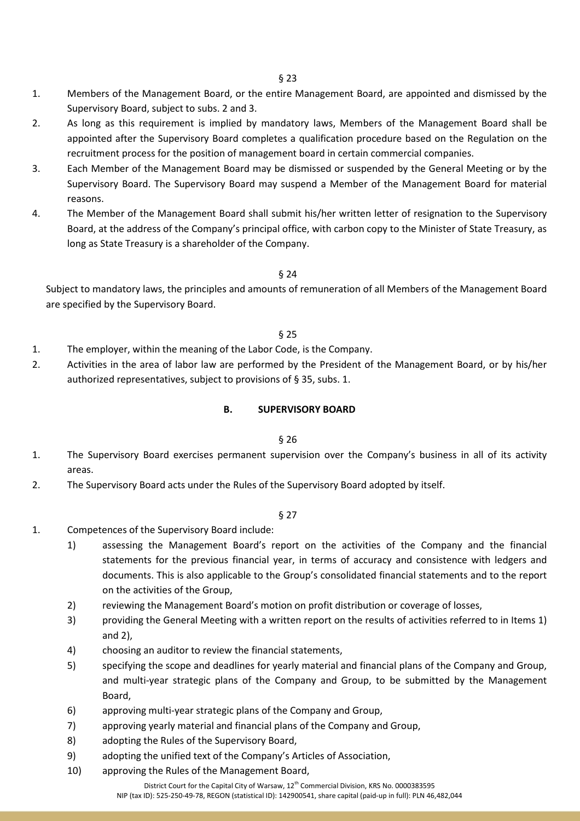- 1. Members of the Management Board, or the entire Management Board, are appointed and dismissed by the Supervisory Board, subject to subs. 2 and 3.
- 2. As long as this requirement is implied by mandatory laws, Members of the Management Board shall be appointed after the Supervisory Board completes a qualification procedure based on the Regulation on the recruitment process for the position of management board in certain commercial companies.
- 3. Each Member of the Management Board may be dismissed or suspended by the General Meeting or by the Supervisory Board. The Supervisory Board may suspend a Member of the Management Board for material reasons.
- 4. The Member of the Management Board shall submit his/her written letter of resignation to the Supervisory Board, at the address of the Company's principal office, with carbon copy to the Minister of State Treasury, as long as State Treasury is a shareholder of the Company.

### § 24

Subject to mandatory laws, the principles and amounts of remuneration of all Members of the Management Board are specified by the Supervisory Board.

### § 25

- 1. The employer, within the meaning of the Labor Code, is the Company.
- 2. Activities in the area of labor law are performed by the President of the Management Board, or by his/her authorized representatives, subject to provisions of § 35, subs. 1.

### **B. SUPERVISORY BOARD**

#### § 26

- 1. The Supervisory Board exercises permanent supervision over the Company's business in all of its activity areas.
- 2. The Supervisory Board acts under the Rules of the Supervisory Board adopted by itself.

- 1. Competences of the Supervisory Board include:
	- 1) assessing the Management Board's report on the activities of the Company and the financial statements for the previous financial year, in terms of accuracy and consistence with ledgers and documents. This is also applicable to the Group's consolidated financial statements and to the report on the activities of the Group,
	- 2) reviewing the Management Board's motion on profit distribution or coverage of losses,
	- 3) providing the General Meeting with a written report on the results of activities referred to in Items 1) and 2),
	- 4) choosing an auditor to review the financial statements,
	- 5) specifying the scope and deadlines for yearly material and financial plans of the Company and Group, and multi-year strategic plans of the Company and Group, to be submitted by the Management Board,
	- 6) approving multi-year strategic plans of the Company and Group,
	- 7) approving yearly material and financial plans of the Company and Group,
	- 8) adopting the Rules of the Supervisory Board,
	- 9) adopting the unified text of the Company's Articles of Association,
	- 10) approving the Rules of the Management Board,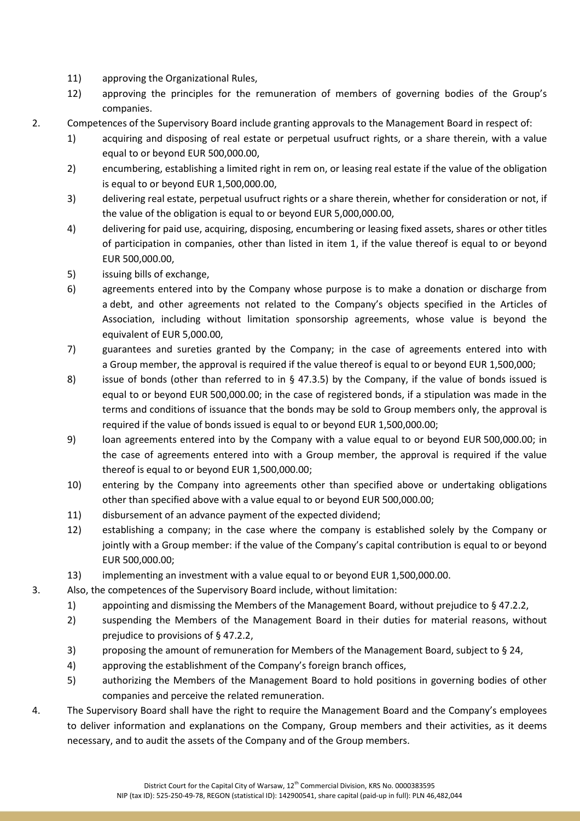- 11) approving the Organizational Rules,
- 12) approving the principles for the remuneration of members of governing bodies of the Group's companies.
- 2. Competences of the Supervisory Board include granting approvals to the Management Board in respect of:
	- 1) acquiring and disposing of real estate or perpetual usufruct rights, or a share therein, with a value equal to or beyond EUR 500,000.00,
	- 2) encumbering, establishing a limited right in rem on, or leasing real estate if the value of the obligation is equal to or beyond EUR 1,500,000.00,
	- 3) delivering real estate, perpetual usufruct rights or a share therein, whether for consideration or not, if the value of the obligation is equal to or beyond EUR 5,000,000.00,
	- 4) delivering for paid use, acquiring, disposing, encumbering or leasing fixed assets, shares or other titles of participation in companies, other than listed in item 1, if the value thereof is equal to or beyond EUR 500,000.00,
	- 5) issuing bills of exchange,
	- 6) agreements entered into by the Company whose purpose is to make a donation or discharge from a debt, and other agreements not related to the Company's objects specified in the Articles of Association, including without limitation sponsorship agreements, whose value is beyond the equivalent of EUR 5,000.00,
	- 7) guarantees and sureties granted by the Company; in the case of agreements entered into with a Group member, the approval is required if the value thereof is equal to or beyond EUR 1,500,000;
	- 8) issue of bonds (other than referred to in § 47.3.5) by the Company, if the value of bonds issued is equal to or beyond EUR 500,000.00; in the case of registered bonds, if a stipulation was made in the terms and conditions of issuance that the bonds may be sold to Group members only, the approval is required if the value of bonds issued is equal to or beyond EUR 1,500,000.00;
	- 9) loan agreements entered into by the Company with a value equal to or beyond EUR 500,000.00; in the case of agreements entered into with a Group member, the approval is required if the value thereof is equal to or beyond EUR 1,500,000.00;
	- 10) entering by the Company into agreements other than specified above or undertaking obligations other than specified above with a value equal to or beyond EUR 500,000.00;
	- 11) disbursement of an advance payment of the expected dividend;
	- 12) establishing a company; in the case where the company is established solely by the Company or jointly with a Group member: if the value of the Company's capital contribution is equal to or beyond EUR 500,000.00;
	- 13) implementing an investment with a value equal to or beyond EUR 1,500,000.00.

3. Also, the competences of the Supervisory Board include, without limitation:

- 1) appointing and dismissing the Members of the Management Board, without prejudice to § 47.2.2,
- 2) suspending the Members of the Management Board in their duties for material reasons, without prejudice to provisions of § 47.2.2,
- 3) proposing the amount of remuneration for Members of the Management Board, subject to § 24,
- 4) approving the establishment of the Company's foreign branch offices,
- 5) authorizing the Members of the Management Board to hold positions in governing bodies of other companies and perceive the related remuneration.
- 4. The Supervisory Board shall have the right to require the Management Board and the Company's employees to deliver information and explanations on the Company, Group members and their activities, as it deems necessary, and to audit the assets of the Company and of the Group members.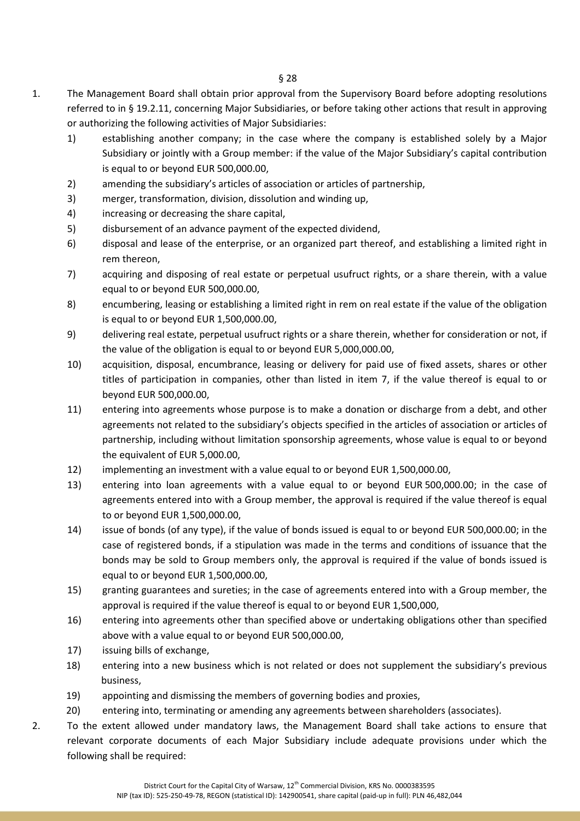- 1. The Management Board shall obtain prior approval from the Supervisory Board before adopting resolutions referred to in § 19.2.11, concerning Major Subsidiaries, or before taking other actions that result in approving or authorizing the following activities of Major Subsidiaries:
	- 1) establishing another company; in the case where the company is established solely by a Major Subsidiary or jointly with a Group member: if the value of the Major Subsidiary's capital contribution is equal to or beyond EUR 500,000.00,
	- 2) amending the subsidiary's articles of association or articles of partnership,
	- 3) merger, transformation, division, dissolution and winding up,
	- 4) increasing or decreasing the share capital,
	- 5) disbursement of an advance payment of the expected dividend,
	- 6) disposal and lease of the enterprise, or an organized part thereof, and establishing a limited right in rem thereon,
	- 7) acquiring and disposing of real estate or perpetual usufruct rights, or a share therein, with a value equal to or beyond EUR 500,000.00,
	- 8) encumbering, leasing or establishing a limited right in rem on real estate if the value of the obligation is equal to or beyond EUR 1,500,000.00,
	- 9) delivering real estate, perpetual usufruct rights or a share therein, whether for consideration or not, if the value of the obligation is equal to or beyond EUR 5,000,000.00,
	- 10) acquisition, disposal, encumbrance, leasing or delivery for paid use of fixed assets, shares or other titles of participation in companies, other than listed in item 7, if the value thereof is equal to or beyond EUR 500,000.00,
	- 11) entering into agreements whose purpose is to make a donation or discharge from a debt, and other agreements not related to the subsidiary's objects specified in the articles of association or articles of partnership, including without limitation sponsorship agreements, whose value is equal to or beyond the equivalent of EUR 5,000.00,
	- 12) implementing an investment with a value equal to or beyond EUR 1,500,000.00,
	- 13) entering into loan agreements with a value equal to or beyond EUR 500,000.00; in the case of agreements entered into with a Group member, the approval is required if the value thereof is equal to or beyond EUR 1,500,000.00,
	- 14) issue of bonds (of any type), if the value of bonds issued is equal to or beyond EUR 500,000.00; in the case of registered bonds, if a stipulation was made in the terms and conditions of issuance that the bonds may be sold to Group members only, the approval is required if the value of bonds issued is equal to or beyond EUR 1,500,000.00,
	- 15) granting guarantees and sureties; in the case of agreements entered into with a Group member, the approval is required if the value thereof is equal to or beyond EUR 1,500,000,
	- 16) entering into agreements other than specified above or undertaking obligations other than specified above with a value equal to or beyond EUR 500,000.00,
	- 17) issuing bills of exchange,
	- 18) entering into a new business which is not related or does not supplement the subsidiary's previous business,
	- 19) appointing and dismissing the members of governing bodies and proxies,
	- 20) entering into, terminating or amending any agreements between shareholders (associates).
- 2. To the extent allowed under mandatory laws, the Management Board shall take actions to ensure that relevant corporate documents of each Major Subsidiary include adequate provisions under which the following shall be required: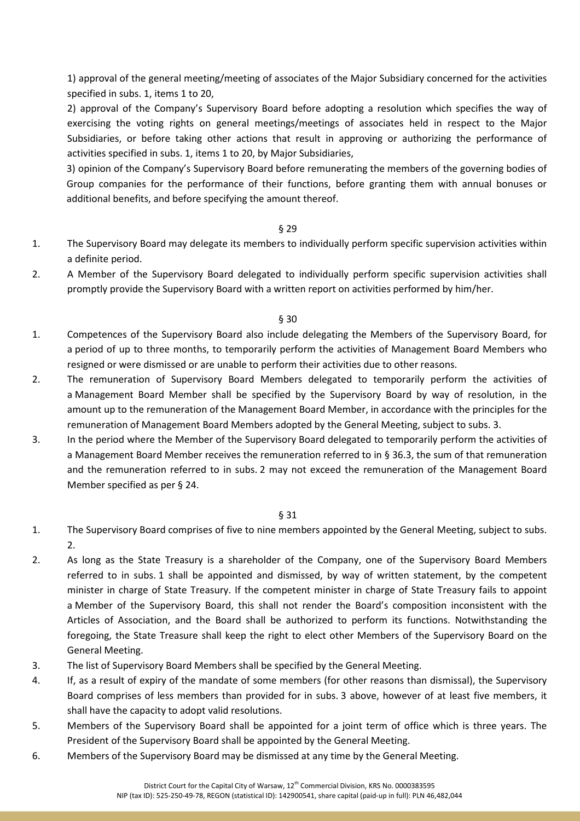1) approval of the general meeting/meeting of associates of the Major Subsidiary concerned for the activities specified in subs. 1, items 1 to 20,

2) approval of the Company's Supervisory Board before adopting a resolution which specifies the way of exercising the voting rights on general meetings/meetings of associates held in respect to the Major Subsidiaries, or before taking other actions that result in approving or authorizing the performance of activities specified in subs. 1, items 1 to 20, by Major Subsidiaries,

3) opinion of the Company's Supervisory Board before remunerating the members of the governing bodies of Group companies for the performance of their functions, before granting them with annual bonuses or additional benefits, and before specifying the amount thereof.

#### § 29

- 1. The Supervisory Board may delegate its members to individually perform specific supervision activities within a definite period.
- 2. A Member of the Supervisory Board delegated to individually perform specific supervision activities shall promptly provide the Supervisory Board with a written report on activities performed by him/her.

#### § 30

- 1. Competences of the Supervisory Board also include delegating the Members of the Supervisory Board, for a period of up to three months, to temporarily perform the activities of Management Board Members who resigned or were dismissed or are unable to perform their activities due to other reasons.
- 2. The remuneration of Supervisory Board Members delegated to temporarily perform the activities of a Management Board Member shall be specified by the Supervisory Board by way of resolution, in the amount up to the remuneration of the Management Board Member, in accordance with the principles for the remuneration of Management Board Members adopted by the General Meeting, subject to subs. 3.
- 3. In the period where the Member of the Supervisory Board delegated to temporarily perform the activities of a Management Board Member receives the remuneration referred to in § 36.3, the sum of that remuneration and the remuneration referred to in subs. 2 may not exceed the remuneration of the Management Board Member specified as per § 24.

- 1. The Supervisory Board comprises of five to nine members appointed by the General Meeting, subject to subs. 2.
- 2. As long as the State Treasury is a shareholder of the Company, one of the Supervisory Board Members referred to in subs. 1 shall be appointed and dismissed, by way of written statement, by the competent minister in charge of State Treasury. If the competent minister in charge of State Treasury fails to appoint a Member of the Supervisory Board, this shall not render the Board's composition inconsistent with the Articles of Association, and the Board shall be authorized to perform its functions. Notwithstanding the foregoing, the State Treasure shall keep the right to elect other Members of the Supervisory Board on the General Meeting.
- 3. The list of Supervisory Board Members shall be specified by the General Meeting.
- 4. If, as a result of expiry of the mandate of some members (for other reasons than dismissal), the Supervisory Board comprises of less members than provided for in subs. 3 above, however of at least five members, it shall have the capacity to adopt valid resolutions.
- 5. Members of the Supervisory Board shall be appointed for a joint term of office which is three years. The President of the Supervisory Board shall be appointed by the General Meeting.
- 6. Members of the Supervisory Board may be dismissed at any time by the General Meeting.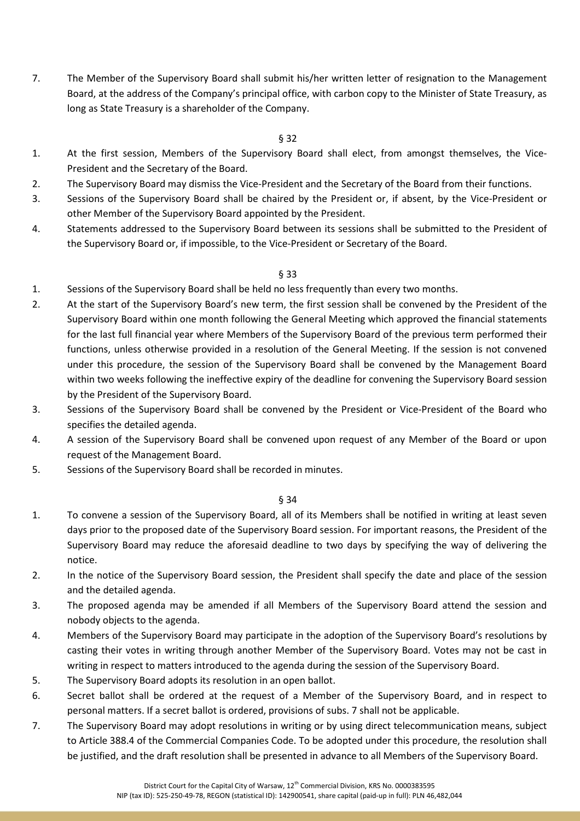7. The Member of the Supervisory Board shall submit his/her written letter of resignation to the Management Board, at the address of the Company's principal office, with carbon copy to the Minister of State Treasury, as long as State Treasury is a shareholder of the Company.

### § 32

- 1. At the first session, Members of the Supervisory Board shall elect, from amongst themselves, the Vice-President and the Secretary of the Board.
- 2. The Supervisory Board may dismiss the Vice-President and the Secretary of the Board from their functions.
- 3. Sessions of the Supervisory Board shall be chaired by the President or, if absent, by the Vice-President or other Member of the Supervisory Board appointed by the President.
- 4. Statements addressed to the Supervisory Board between its sessions shall be submitted to the President of the Supervisory Board or, if impossible, to the Vice-President or Secretary of the Board.

### § 33

- 1. Sessions of the Supervisory Board shall be held no less frequently than every two months.
- 2. At the start of the Supervisory Board's new term, the first session shall be convened by the President of the Supervisory Board within one month following the General Meeting which approved the financial statements for the last full financial year where Members of the Supervisory Board of the previous term performed their functions, unless otherwise provided in a resolution of the General Meeting. If the session is not convened under this procedure, the session of the Supervisory Board shall be convened by the Management Board within two weeks following the ineffective expiry of the deadline for convening the Supervisory Board session by the President of the Supervisory Board.
- 3. Sessions of the Supervisory Board shall be convened by the President or Vice-President of the Board who specifies the detailed agenda.
- 4. A session of the Supervisory Board shall be convened upon request of any Member of the Board or upon request of the Management Board.
- 5. Sessions of the Supervisory Board shall be recorded in minutes.

- 1. To convene a session of the Supervisory Board, all of its Members shall be notified in writing at least seven days prior to the proposed date of the Supervisory Board session. For important reasons, the President of the Supervisory Board may reduce the aforesaid deadline to two days by specifying the way of delivering the notice.
- 2. In the notice of the Supervisory Board session, the President shall specify the date and place of the session and the detailed agenda.
- 3. The proposed agenda may be amended if all Members of the Supervisory Board attend the session and nobody objects to the agenda.
- 4. Members of the Supervisory Board may participate in the adoption of the Supervisory Board's resolutions by casting their votes in writing through another Member of the Supervisory Board. Votes may not be cast in writing in respect to matters introduced to the agenda during the session of the Supervisory Board.
- 5. The Supervisory Board adopts its resolution in an open ballot.
- 6. Secret ballot shall be ordered at the request of a Member of the Supervisory Board, and in respect to personal matters. If a secret ballot is ordered, provisions of subs. 7 shall not be applicable.
- 7. The Supervisory Board may adopt resolutions in writing or by using direct telecommunication means, subject to Article 388.4 of the Commercial Companies Code. To be adopted under this procedure, the resolution shall be justified, and the draft resolution shall be presented in advance to all Members of the Supervisory Board.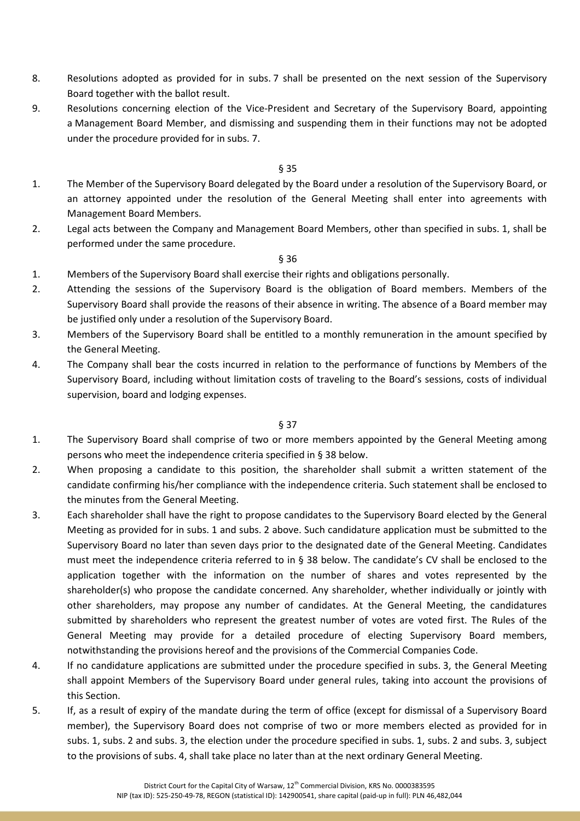- 8. Resolutions adopted as provided for in subs. 7 shall be presented on the next session of the Supervisory Board together with the ballot result.
- 9. Resolutions concerning election of the Vice-President and Secretary of the Supervisory Board, appointing a Management Board Member, and dismissing and suspending them in their functions may not be adopted under the procedure provided for in subs. 7.

#### § 35

- 1. The Member of the Supervisory Board delegated by the Board under a resolution of the Supervisory Board, or an attorney appointed under the resolution of the General Meeting shall enter into agreements with Management Board Members.
- 2. Legal acts between the Company and Management Board Members, other than specified in subs. 1, shall be performed under the same procedure.

#### § 36

- 1. Members of the Supervisory Board shall exercise their rights and obligations personally.
- 2. Attending the sessions of the Supervisory Board is the obligation of Board members. Members of the Supervisory Board shall provide the reasons of their absence in writing. The absence of a Board member may be justified only under a resolution of the Supervisory Board.
- 3. Members of the Supervisory Board shall be entitled to a monthly remuneration in the amount specified by the General Meeting.
- 4. The Company shall bear the costs incurred in relation to the performance of functions by Members of the Supervisory Board, including without limitation costs of traveling to the Board's sessions, costs of individual supervision, board and lodging expenses.

- 1. The Supervisory Board shall comprise of two or more members appointed by the General Meeting among persons who meet the independence criteria specified in § 38 below.
- 2. When proposing a candidate to this position, the shareholder shall submit a written statement of the candidate confirming his/her compliance with the independence criteria. Such statement shall be enclosed to the minutes from the General Meeting.
- 3. Each shareholder shall have the right to propose candidates to the Supervisory Board elected by the General Meeting as provided for in subs. 1 and subs. 2 above. Such candidature application must be submitted to the Supervisory Board no later than seven days prior to the designated date of the General Meeting. Candidates must meet the independence criteria referred to in § 38 below. The candidate's CV shall be enclosed to the application together with the information on the number of shares and votes represented by the shareholder(s) who propose the candidate concerned. Any shareholder, whether individually or jointly with other shareholders, may propose any number of candidates. At the General Meeting, the candidatures submitted by shareholders who represent the greatest number of votes are voted first. The Rules of the General Meeting may provide for a detailed procedure of electing Supervisory Board members, notwithstanding the provisions hereof and the provisions of the Commercial Companies Code.
- 4. If no candidature applications are submitted under the procedure specified in subs. 3, the General Meeting shall appoint Members of the Supervisory Board under general rules, taking into account the provisions of this Section.
- 5. If, as a result of expiry of the mandate during the term of office (except for dismissal of a Supervisory Board member), the Supervisory Board does not comprise of two or more members elected as provided for in subs. 1, subs. 2 and subs. 3, the election under the procedure specified in subs. 1, subs. 2 and subs. 3, subject to the provisions of subs. 4, shall take place no later than at the next ordinary General Meeting.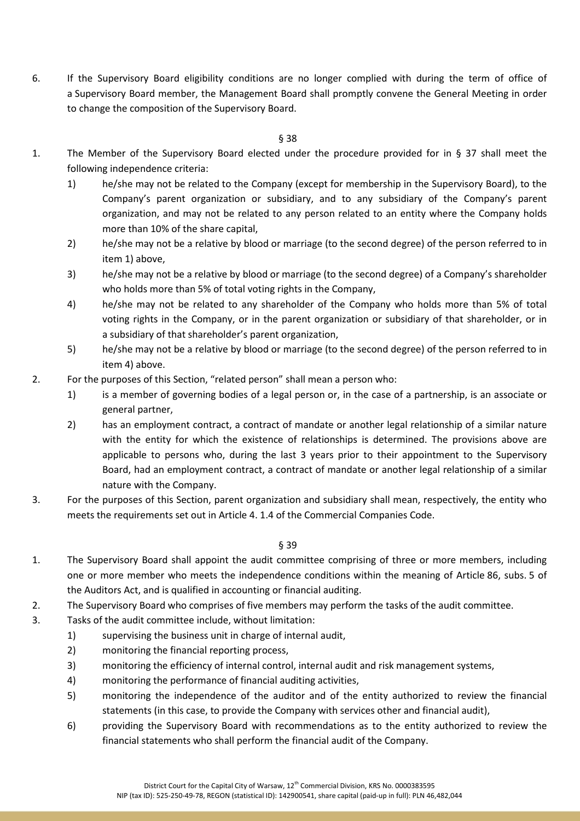6. If the Supervisory Board eligibility conditions are no longer complied with during the term of office of a Supervisory Board member, the Management Board shall promptly convene the General Meeting in order to change the composition of the Supervisory Board.

§ 38

- 1. The Member of the Supervisory Board elected under the procedure provided for in § 37 shall meet the following independence criteria:
	- 1) he/she may not be related to the Company (except for membership in the Supervisory Board), to the Company's parent organization or subsidiary, and to any subsidiary of the Company's parent organization, and may not be related to any person related to an entity where the Company holds more than 10% of the share capital,
	- 2) he/she may not be a relative by blood or marriage (to the second degree) of the person referred to in item 1) above,
	- 3) he/she may not be a relative by blood or marriage (to the second degree) of a Company's shareholder who holds more than 5% of total voting rights in the Company,
	- 4) he/she may not be related to any shareholder of the Company who holds more than 5% of total voting rights in the Company, or in the parent organization or subsidiary of that shareholder, or in a subsidiary of that shareholder's parent organization,
	- 5) he/she may not be a relative by blood or marriage (to the second degree) of the person referred to in item 4) above.
- 2. For the purposes of this Section, "related person" shall mean a person who:
	- 1) is a member of governing bodies of a legal person or, in the case of a partnership, is an associate or general partner,
	- 2) has an employment contract, a contract of mandate or another legal relationship of a similar nature with the entity for which the existence of relationships is determined. The provisions above are applicable to persons who, during the last 3 years prior to their appointment to the Supervisory Board, had an employment contract, a contract of mandate or another legal relationship of a similar nature with the Company.
- 3. For the purposes of this Section, parent organization and subsidiary shall mean, respectively, the entity who meets the requirements set out in Article 4. 1.4 of the Commercial Companies Code.

- 1. The Supervisory Board shall appoint the audit committee comprising of three or more members, including one or more member who meets the independence conditions within the meaning of Article 86, subs. 5 of the Auditors Act, and is qualified in accounting or financial auditing.
- 2. The Supervisory Board who comprises of five members may perform the tasks of the audit committee.
- 3. Tasks of the audit committee include, without limitation:
	- 1) supervising the business unit in charge of internal audit,
	- 2) monitoring the financial reporting process,
	- 3) monitoring the efficiency of internal control, internal audit and risk management systems,
	- 4) monitoring the performance of financial auditing activities,
	- 5) monitoring the independence of the auditor and of the entity authorized to review the financial statements (in this case, to provide the Company with services other and financial audit),
	- 6) providing the Supervisory Board with recommendations as to the entity authorized to review the financial statements who shall perform the financial audit of the Company.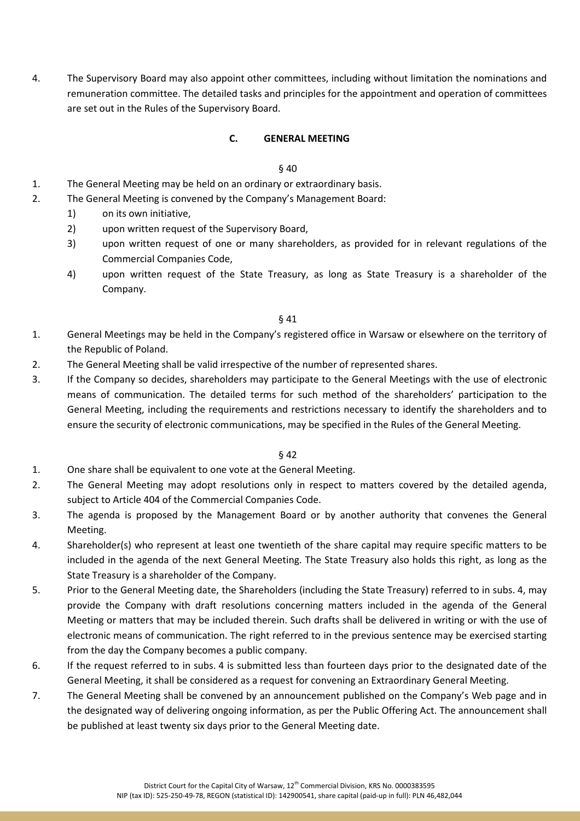4. The Supervisory Board may also appoint other committees, including without limitation the nominations and remuneration committee. The detailed tasks and principles for the appointment and operation of committees are set out in the Rules of the Supervisory Board.

### **C. GENERAL MEETING**

#### § 40

- 1. The General Meeting may be held on an ordinary or extraordinary basis.
- 2. The General Meeting is convened by the Company's Management Board:
	- 1) on its own initiative,
	- 2) upon written request of the Supervisory Board,
	- 3) upon written request of one or many shareholders, as provided for in relevant regulations of the Commercial Companies Code,
	- 4) upon written request of the State Treasury, as long as State Treasury is a shareholder of the Company.

§ 41

- 1. General Meetings may be held in the Company's registered office in Warsaw or elsewhere on the territory of the Republic of Poland.
- 2. The General Meeting shall be valid irrespective of the number of represented shares.
- 3. If the Company so decides, shareholders may participate to the General Meetings with the use of electronic means of communication. The detailed terms for such method of the shareholders' participation to the General Meeting, including the requirements and restrictions necessary to identify the shareholders and to ensure the security of electronic communications, may be specified in the Rules of the General Meeting.

- 1. One share shall be equivalent to one vote at the General Meeting.
- 2. The General Meeting may adopt resolutions only in respect to matters covered by the detailed agenda, subject to Article 404 of the Commercial Companies Code.
- 3. The agenda is proposed by the Management Board or by another authority that convenes the General Meeting.
- 4. Shareholder(s) who represent at least one twentieth of the share capital may require specific matters to be included in the agenda of the next General Meeting. The State Treasury also holds this right, as long as the State Treasury is a shareholder of the Company.
- 5. Prior to the General Meeting date, the Shareholders (including the State Treasury) referred to in subs. 4, may provide the Company with draft resolutions concerning matters included in the agenda of the General Meeting or matters that may be included therein. Such drafts shall be delivered in writing or with the use of electronic means of communication. The right referred to in the previous sentence may be exercised starting from the day the Company becomes a public company.
- 6. If the request referred to in subs. 4 is submitted less than fourteen days prior to the designated date of the General Meeting, it shall be considered as a request for convening an Extraordinary General Meeting.
- 7. The General Meeting shall be convened by an announcement published on the Company's Web page and in the designated way of delivering ongoing information, as per the Public Offering Act. The announcement shall be published at least twenty six days prior to the General Meeting date.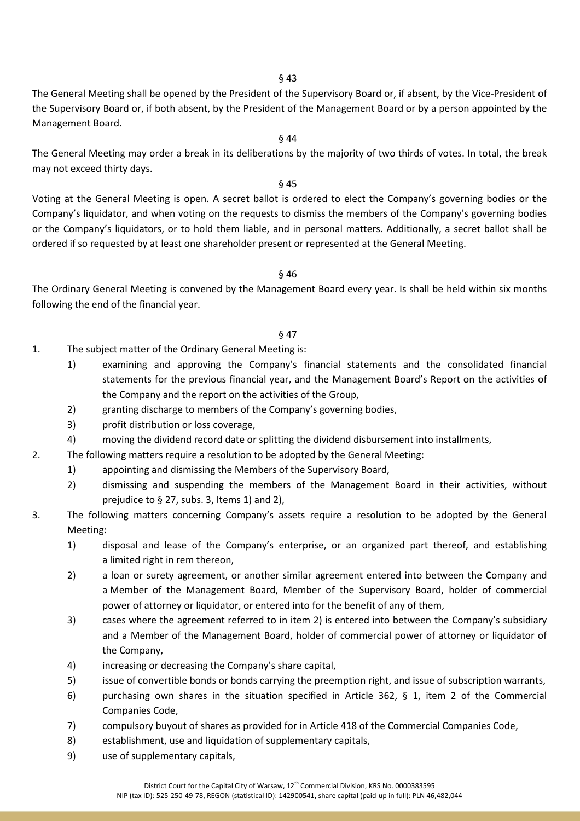§ 43

The General Meeting shall be opened by the President of the Supervisory Board or, if absent, by the Vice-President of the Supervisory Board or, if both absent, by the President of the Management Board or by a person appointed by the Management Board.

### § 44

The General Meeting may order a break in its deliberations by the majority of two thirds of votes. In total, the break may not exceed thirty days.

#### § 45

Voting at the General Meeting is open. A secret ballot is ordered to elect the Company's governing bodies or the Company's liquidator, and when voting on the requests to dismiss the members of the Company's governing bodies or the Company's liquidators, or to hold them liable, and in personal matters. Additionally, a secret ballot shall be ordered if so requested by at least one shareholder present or represented at the General Meeting.

#### § 46

The Ordinary General Meeting is convened by the Management Board every year. Is shall be held within six months following the end of the financial year.

- 1. The subject matter of the Ordinary General Meeting is:
	- 1) examining and approving the Company's financial statements and the consolidated financial statements for the previous financial year, and the Management Board's Report on the activities of the Company and the report on the activities of the Group,
	- 2) granting discharge to members of the Company's governing bodies,
	- 3) profit distribution or loss coverage,
	- 4) moving the dividend record date or splitting the dividend disbursement into installments,
- 2. The following matters require a resolution to be adopted by the General Meeting:
	- 1) appointing and dismissing the Members of the Supervisory Board,
	- 2) dismissing and suspending the members of the Management Board in their activities, without prejudice to § 27, subs. 3, Items 1) and 2),
- 3. The following matters concerning Company's assets require a resolution to be adopted by the General Meeting:
	- 1) disposal and lease of the Company's enterprise, or an organized part thereof, and establishing a limited right in rem thereon,
	- 2) a loan or surety agreement, or another similar agreement entered into between the Company and a Member of the Management Board, Member of the Supervisory Board, holder of commercial power of attorney or liquidator, or entered into for the benefit of any of them,
	- 3) cases where the agreement referred to in item 2) is entered into between the Company's subsidiary and a Member of the Management Board, holder of commercial power of attorney or liquidator of the Company,
	- 4) increasing or decreasing the Company's share capital,
	- 5) issue of convertible bonds or bonds carrying the preemption right, and issue of subscription warrants,
	- 6) purchasing own shares in the situation specified in Article 362, § 1, item 2 of the Commercial Companies Code,
	- 7) compulsory buyout of shares as provided for in Article 418 of the Commercial Companies Code,
	- 8) establishment, use and liquidation of supplementary capitals,
	- 9) use of supplementary capitals,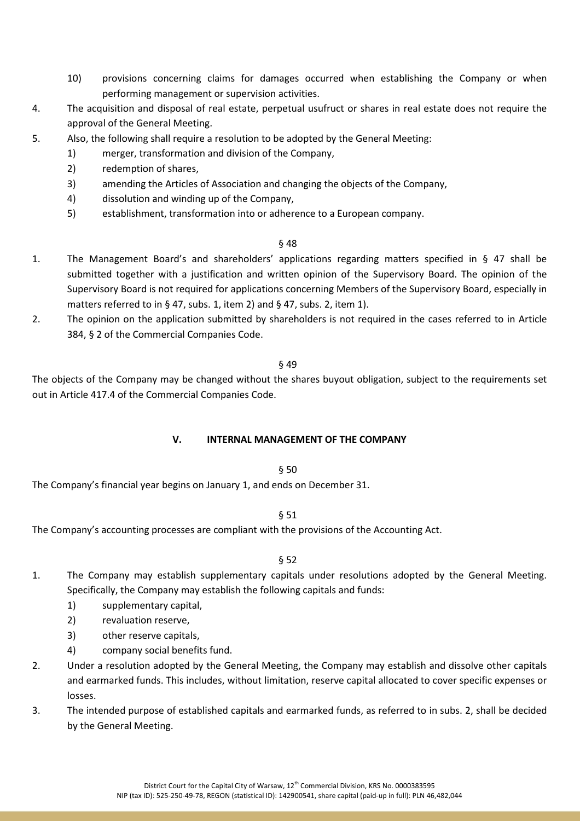- 10) provisions concerning claims for damages occurred when establishing the Company or when performing management or supervision activities.
- 4. The acquisition and disposal of real estate, perpetual usufruct or shares in real estate does not require the approval of the General Meeting.
- 5. Also, the following shall require a resolution to be adopted by the General Meeting:
	- 1) merger, transformation and division of the Company,
	- 2) redemption of shares,
	- 3) amending the Articles of Association and changing the objects of the Company,
	- 4) dissolution and winding up of the Company,
	- 5) establishment, transformation into or adherence to a European company.

### § 48

- 1. The Management Board's and shareholders' applications regarding matters specified in § 47 shall be submitted together with a justification and written opinion of the Supervisory Board. The opinion of the Supervisory Board is not required for applications concerning Members of the Supervisory Board, especially in matters referred to in § 47, subs. 1, item 2) and § 47, subs. 2, item 1).
- 2. The opinion on the application submitted by shareholders is not required in the cases referred to in Article 384, § 2 of the Commercial Companies Code.

#### § 49

The objects of the Company may be changed without the shares buyout obligation, subject to the requirements set out in Article 417.4 of the Commercial Companies Code.

### **V. INTERNAL MANAGEMENT OF THE COMPANY**

### § 50

The Company's financial year begins on January 1, and ends on December 31.

### § 51

The Company's accounting processes are compliant with the provisions of the Accounting Act.

- 1. The Company may establish supplementary capitals under resolutions adopted by the General Meeting. Specifically, the Company may establish the following capitals and funds:
	- 1) supplementary capital,
	- 2) revaluation reserve,
	- 3) other reserve capitals,
	- 4) company social benefits fund.
- 2. Under a resolution adopted by the General Meeting, the Company may establish and dissolve other capitals and earmarked funds. This includes, without limitation, reserve capital allocated to cover specific expenses or losses.
- 3. The intended purpose of established capitals and earmarked funds, as referred to in subs. 2, shall be decided by the General Meeting.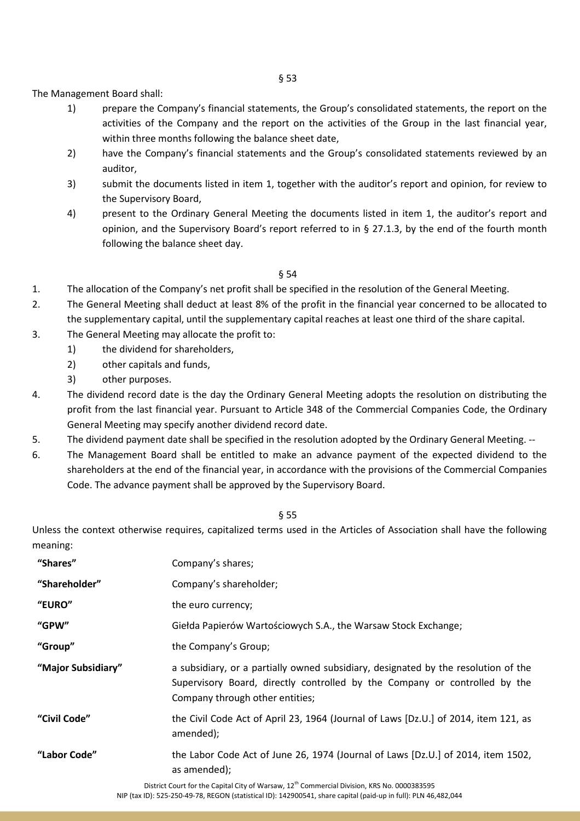The Management Board shall:

- 1) prepare the Company's financial statements, the Group's consolidated statements, the report on the activities of the Company and the report on the activities of the Group in the last financial year, within three months following the balance sheet date,
- 2) have the Company's financial statements and the Group's consolidated statements reviewed by an auditor,
- 3) submit the documents listed in item 1, together with the auditor's report and opinion, for review to the Supervisory Board,
- 4) present to the Ordinary General Meeting the documents listed in item 1, the auditor's report and opinion, and the Supervisory Board's report referred to in § 27.1.3, by the end of the fourth month following the balance sheet day.

### § 54

- 1. The allocation of the Company's net profit shall be specified in the resolution of the General Meeting.
- 2. The General Meeting shall deduct at least 8% of the profit in the financial year concerned to be allocated to the supplementary capital, until the supplementary capital reaches at least one third of the share capital.
- 3. The General Meeting may allocate the profit to:
	- 1) the dividend for shareholders,
	- 2) other capitals and funds,
	- 3) other purposes.
- 4. The dividend record date is the day the Ordinary General Meeting adopts the resolution on distributing the profit from the last financial year. Pursuant to Article 348 of the Commercial Companies Code, the Ordinary General Meeting may specify another dividend record date.
- 5. The dividend payment date shall be specified in the resolution adopted by the Ordinary General Meeting. --
- 6. The Management Board shall be entitled to make an advance payment of the expected dividend to the shareholders at the end of the financial year, in accordance with the provisions of the Commercial Companies Code. The advance payment shall be approved by the Supervisory Board.

#### § 55

Unless the context otherwise requires, capitalized terms used in the Articles of Association shall have the following meaning:

| "Shares"           | Company's shares;                                                                                                                                                                                   |
|--------------------|-----------------------------------------------------------------------------------------------------------------------------------------------------------------------------------------------------|
| "Shareholder"      | Company's shareholder;                                                                                                                                                                              |
| "EURO"             | the euro currency;                                                                                                                                                                                  |
| "GPW"              | Giełda Papierów Wartościowych S.A., the Warsaw Stock Exchange;                                                                                                                                      |
| "Group"            | the Company's Group;                                                                                                                                                                                |
| "Major Subsidiary" | a subsidiary, or a partially owned subsidiary, designated by the resolution of the<br>Supervisory Board, directly controlled by the Company or controlled by the<br>Company through other entities; |
| "Civil Code"       | the Civil Code Act of April 23, 1964 (Journal of Laws [Dz.U.] of 2014, item 121, as<br>amended);                                                                                                    |
| "Labor Code"       | the Labor Code Act of June 26, 1974 (Journal of Laws [Dz.U.] of 2014, item 1502,<br>as amended);                                                                                                    |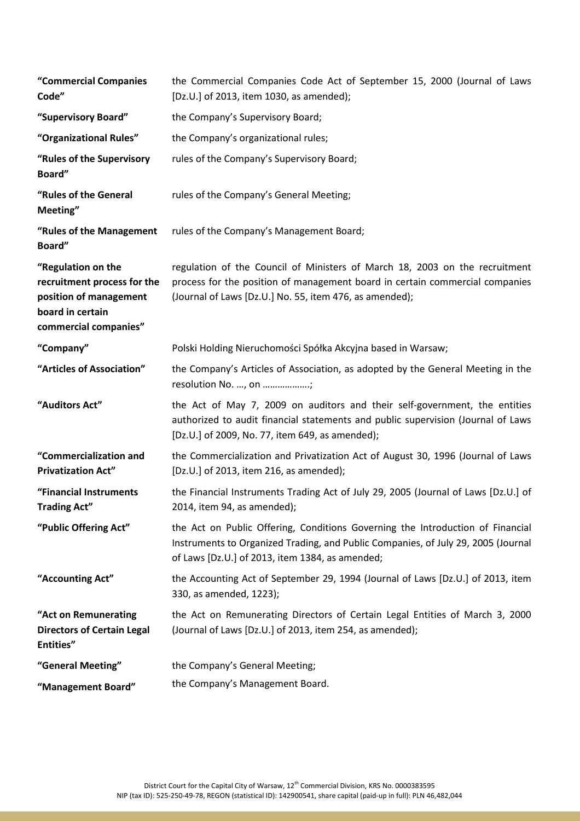| "Commercial Companies<br>Code"                                                                                           | the Commercial Companies Code Act of September 15, 2000 (Journal of Laws<br>[Dz.U.] of 2013, item 1030, as amended);                                                                                                   |
|--------------------------------------------------------------------------------------------------------------------------|------------------------------------------------------------------------------------------------------------------------------------------------------------------------------------------------------------------------|
| "Supervisory Board"                                                                                                      | the Company's Supervisory Board;                                                                                                                                                                                       |
| "Organizational Rules"                                                                                                   | the Company's organizational rules;                                                                                                                                                                                    |
| "Rules of the Supervisory<br>Board"                                                                                      | rules of the Company's Supervisory Board;                                                                                                                                                                              |
| "Rules of the General<br>Meeting"                                                                                        | rules of the Company's General Meeting;                                                                                                                                                                                |
| "Rules of the Management<br>Board"                                                                                       | rules of the Company's Management Board;                                                                                                                                                                               |
| "Regulation on the<br>recruitment process for the<br>position of management<br>board in certain<br>commercial companies" | regulation of the Council of Ministers of March 18, 2003 on the recruitment<br>process for the position of management board in certain commercial companies<br>(Journal of Laws [Dz.U.] No. 55, item 476, as amended); |
| "Company"                                                                                                                | Polski Holding Nieruchomości Spółka Akcyjna based in Warsaw;                                                                                                                                                           |
| "Articles of Association"                                                                                                | the Company's Articles of Association, as adopted by the General Meeting in the<br>resolution No. , on ;                                                                                                               |
| "Auditors Act"                                                                                                           | the Act of May 7, 2009 on auditors and their self-government, the entities<br>authorized to audit financial statements and public supervision (Journal of Laws<br>[Dz.U.] of 2009, No. 77, item 649, as amended);      |
| "Commercialization and<br><b>Privatization Act"</b>                                                                      | the Commercialization and Privatization Act of August 30, 1996 (Journal of Laws<br>[Dz.U.] of 2013, item 216, as amended);                                                                                             |
| "Financial Instruments<br><b>Trading Act"</b>                                                                            | the Financial Instruments Trading Act of July 29, 2005 (Journal of Laws [Dz.U.] of<br>2014, item 94, as amended);                                                                                                      |
| "Public Offering Act"                                                                                                    | the Act on Public Offering, Conditions Governing the Introduction of Financial<br>Instruments to Organized Trading, and Public Companies, of July 29, 2005 (Journal<br>of Laws [Dz.U.] of 2013, item 1384, as amended; |
| "Accounting Act"                                                                                                         | the Accounting Act of September 29, 1994 (Journal of Laws [Dz.U.] of 2013, item<br>330, as amended, 1223);                                                                                                             |
| "Act on Remunerating<br><b>Directors of Certain Legal</b><br>Entities"                                                   | the Act on Remunerating Directors of Certain Legal Entities of March 3, 2000<br>(Journal of Laws [Dz.U.] of 2013, item 254, as amended);                                                                               |
| "General Meeting"                                                                                                        | the Company's General Meeting;                                                                                                                                                                                         |
| "Management Board"                                                                                                       | the Company's Management Board.                                                                                                                                                                                        |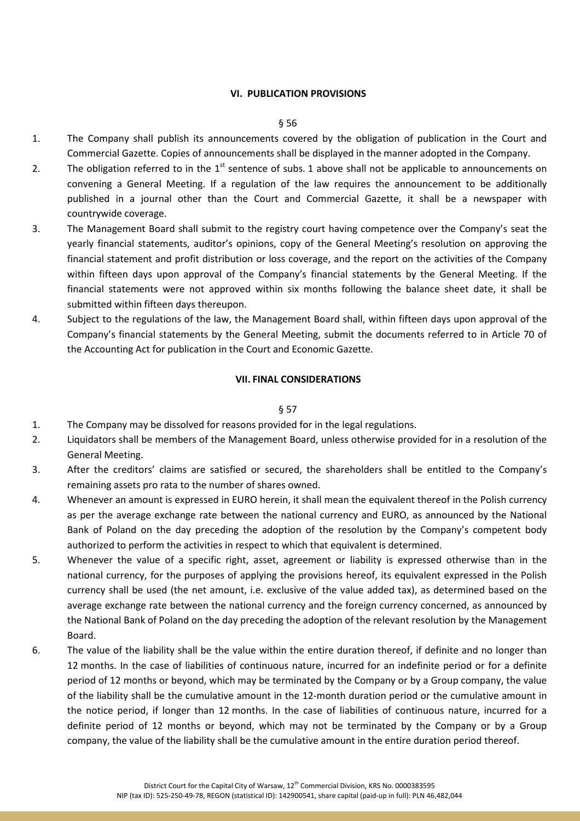#### **VI. PUBLICATION PROVISIONS**

#### § 56

- 1. The Company shall publish its announcements covered by the obligation of publication in the Court and Commercial Gazette. Copies of announcements shall be displayed in the manner adopted in the Company.
- 2. The obligation referred to in the  $1^{st}$  sentence of subs. 1 above shall not be applicable to announcements on convening a General Meeting. If a regulation of the law requires the announcement to be additionally published in a journal other than the Court and Commercial Gazette, it shall be a newspaper with countrywide coverage.
- 3. The Management Board shall submit to the registry court having competence over the Company's seat the yearly financial statements, auditor's opinions, copy of the General Meeting's resolution on approving the financial statement and profit distribution or loss coverage, and the report on the activities of the Company within fifteen days upon approval of the Company's financial statements by the General Meeting. If the financial statements were not approved within six months following the balance sheet date, it shall be submitted within fifteen days thereupon.
- 4. Subject to the regulations of the law, the Management Board shall, within fifteen days upon approval of the Company's financial statements by the General Meeting, submit the documents referred to in Article 70 of the Accounting Act for publication in the Court and Economic Gazette.

#### **VII. FINAL CONSIDERATIONS**

- 1. The Company may be dissolved for reasons provided for in the legal regulations.
- 2. Liquidators shall be members of the Management Board, unless otherwise provided for in a resolution of the General Meeting.
- 3. After the creditors' claims are satisfied or secured, the shareholders shall be entitled to the Company's remaining assets pro rata to the number of shares owned.
- 4. Whenever an amount is expressed in EURO herein, it shall mean the equivalent thereof in the Polish currency as per the average exchange rate between the national currency and EURO, as announced by the National Bank of Poland on the day preceding the adoption of the resolution by the Company's competent body authorized to perform the activities in respect to which that equivalent is determined.
- 5. Whenever the value of a specific right, asset, agreement or liability is expressed otherwise than in the national currency, for the purposes of applying the provisions hereof, its equivalent expressed in the Polish currency shall be used (the net amount, i.e. exclusive of the value added tax), as determined based on the average exchange rate between the national currency and the foreign currency concerned, as announced by the National Bank of Poland on the day preceding the adoption of the relevant resolution by the Management Board.
- 6. The value of the liability shall be the value within the entire duration thereof, if definite and no longer than 12 months. In the case of liabilities of continuous nature, incurred for an indefinite period or for a definite period of 12 months or beyond, which may be terminated by the Company or by a Group company, the value of the liability shall be the cumulative amount in the 12-month duration period or the cumulative amount in the notice period, if longer than 12 months. In the case of liabilities of continuous nature, incurred for a definite period of 12 months or beyond, which may not be terminated by the Company or by a Group company, the value of the liability shall be the cumulative amount in the entire duration period thereof.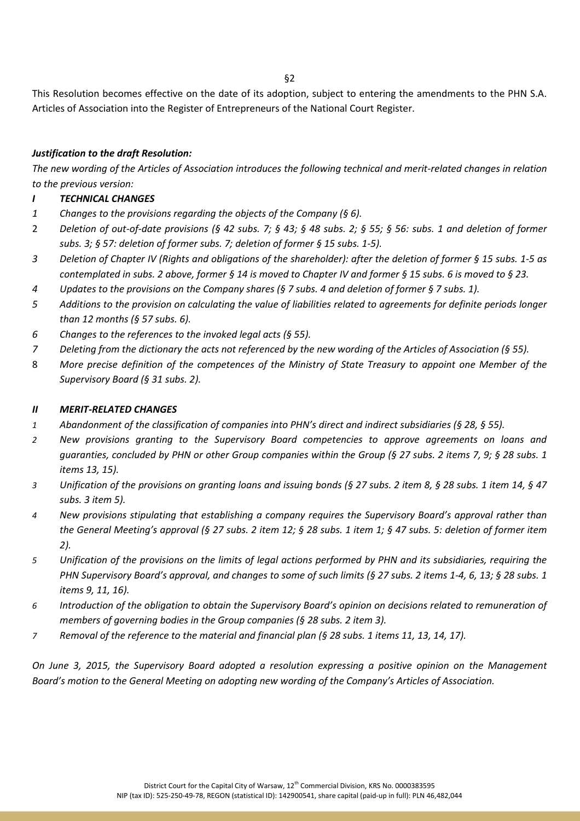§2

This Resolution becomes effective on the date of its adoption, subject to entering the amendments to the PHN S.A. Articles of Association into the Register of Entrepreneurs of the National Court Register.

### *Justification to the draft Resolution:*

*The new wording of the Articles of Association introduces the following technical and merit-related changes in relation to the previous version:* 

### *I TECHNICAL CHANGES*

- *1 Changes to the provisions regarding the objects of the Company (§ 6).*
- 2 *Deletion of out-of-date provisions (§ 42 subs. 7; § 43; § 48 subs. 2; § 55; § 56: subs. 1 and deletion of former subs. 3; § 57: deletion of former subs. 7; deletion of former § 15 subs. 1-5).*
- *3 Deletion of Chapter IV (Rights and obligations of the shareholder): after the deletion of former § 15 subs. 1-5 as contemplated in subs. 2 above, former § 14 is moved to Chapter IV and former § 15 subs. 6 is moved to § 23.*
- *4 Updates to the provisions on the Company shares (§ 7 subs. 4 and deletion of former § 7 subs. 1).*
- *5 Additions to the provision on calculating the value of liabilities related to agreements for definite periods longer than 12 months (§ 57 subs. 6).*
- *6 Changes to the references to the invoked legal acts (§ 55).*
- *7 Deleting from the dictionary the acts not referenced by the new wording of the Articles of Association (§ 55).*
- 8 *More precise definition of the competences of the Ministry of State Treasury to appoint one Member of the Supervisory Board (§ 31 subs. 2).*

### *II MERIT-RELATED CHANGES*

- *1 Abandonment of the classification of companies into PHN's direct and indirect subsidiaries (§ 28, § 55).*
- *2 New provisions granting to the Supervisory Board competencies to approve agreements on loans and guaranties, concluded by PHN or other Group companies within the Group (§ 27 subs. 2 items 7, 9; § 28 subs. 1 items 13, 15).*
- *3 Unification of the provisions on granting loans and issuing bonds (§ 27 subs. 2 item 8, § 28 subs. 1 item 14, § 47 subs. 3 item 5).*
- *4 New provisions stipulating that establishing a company requires the Supervisory Board's approval rather than the General Meeting's approval (§ 27 subs. 2 item 12; § 28 subs. 1 item 1; § 47 subs. 5: deletion of former item 2).*
- *5 Unification of the provisions on the limits of legal actions performed by PHN and its subsidiaries, requiring the PHN Supervisory Board's approval, and changes to some of such limits (§ 27 subs. 2 items 1-4, 6, 13; § 28 subs. 1 items 9, 11, 16).*
- *6 Introduction of the obligation to obtain the Supervisory Board's opinion on decisions related to remuneration of members of governing bodies in the Group companies (§ 28 subs. 2 item 3).*
- *7 Removal of the reference to the material and financial plan (§ 28 subs. 1 items 11, 13, 14, 17).*

*On June 3, 2015, the Supervisory Board adopted a resolution expressing a positive opinion on the Management Board's motion to the General Meeting on adopting new wording of the Company's Articles of Association.*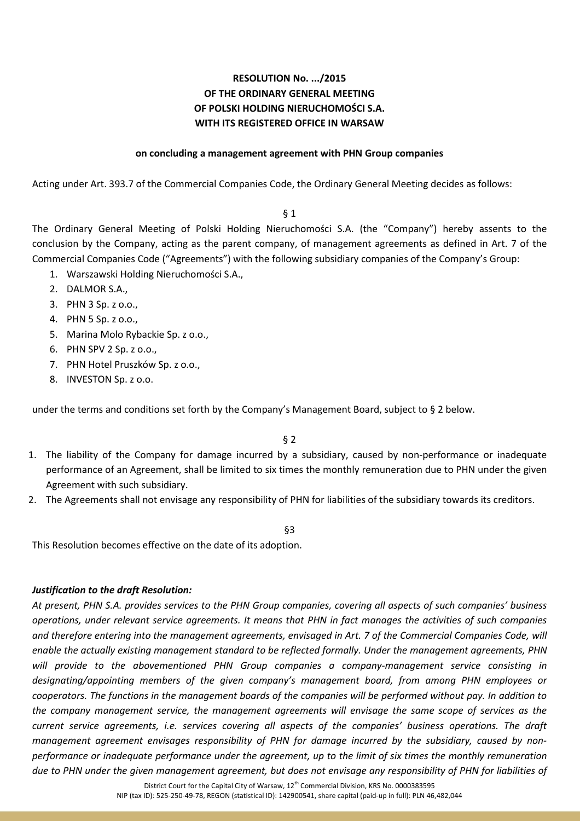#### **on concluding a management agreement with PHN Group companies**

Acting under Art. 393.7 of the Commercial Companies Code, the Ordinary General Meeting decides as follows:

#### $§$  1

The Ordinary General Meeting of Polski Holding Nieruchomości S.A. (the "Company") hereby assents to the conclusion by the Company, acting as the parent company, of management agreements as defined in Art. 7 of the Commercial Companies Code ("Agreements") with the following subsidiary companies of the Company's Group:

- 1. Warszawski Holding Nieruchomości S.A.,
- 2. DALMOR S.A.,
- 3. PHN 3 Sp. z o.o.,
- 4. PHN 5 Sp. z o.o.,
- 5. Marina Molo Rybackie Sp. z o.o.,
- 6. PHN SPV 2 Sp. z o.o.,
- 7. PHN Hotel Pruszków Sp. z o.o.,
- 8. INVESTON Sp. z o.o.

under the terms and conditions set forth by the Company's Management Board, subject to § 2 below.

#### § 2

- 1. The liability of the Company for damage incurred by a subsidiary, caused by non-performance or inadequate performance of an Agreement, shall be limited to six times the monthly remuneration due to PHN under the given Agreement with such subsidiary.
- 2. The Agreements shall not envisage any responsibility of PHN for liabilities of the subsidiary towards its creditors.

#### §3

This Resolution becomes effective on the date of its adoption.

#### *Justification to the draft Resolution:*

*At present, PHN S.A. provides services to the PHN Group companies, covering all aspects of such companies' business operations, under relevant service agreements. It means that PHN in fact manages the activities of such companies*  and therefore entering into the management agreements, envisaged in Art. 7 of the Commercial Companies Code, will *enable the actually existing management standard to be reflected formally. Under the management agreements, PHN will provide to the abovementioned PHN Group companies a company-management service consisting in designating/appointing members of the given company's management board, from among PHN employees or cooperators. The functions in the management boards of the companies will be performed without pay. In addition to the company management service, the management agreements will envisage the same scope of services as the current service agreements, i.e. services covering all aspects of the companies' business operations. The draft management agreement envisages responsibility of PHN for damage incurred by the subsidiary, caused by nonperformance or inadequate performance under the agreement, up to the limit of six times the monthly remuneration due to PHN under the given management agreement, but does not envisage any responsibility of PHN for liabilities of*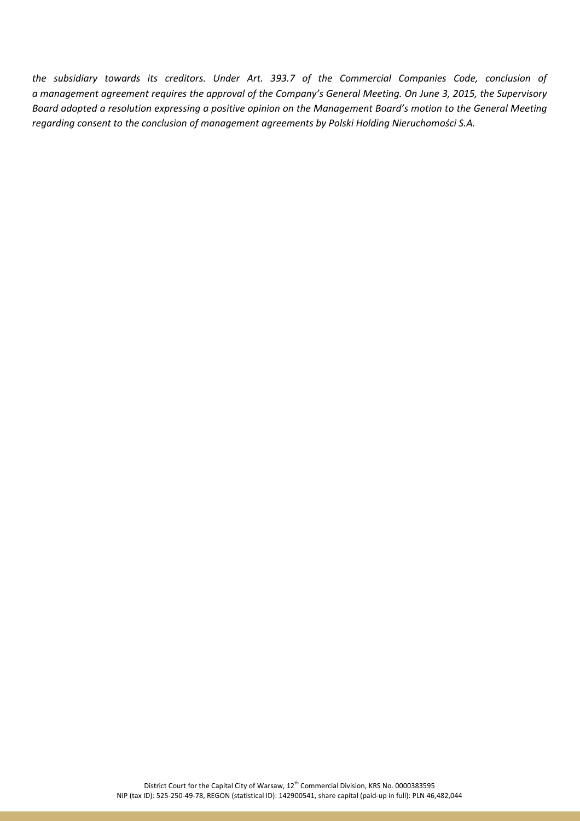*the subsidiary towards its creditors. Under Art. 393.7 of the Commercial Companies Code, conclusion of a management agreement requires the approval of the Company's General Meeting. On June 3, 2015, the Supervisory Board adopted a resolution expressing a positive opinion on the Management Board's motion to the General Meeting regarding consent to the conclusion of management agreements by Polski Holding Nieruchomości S.A.*